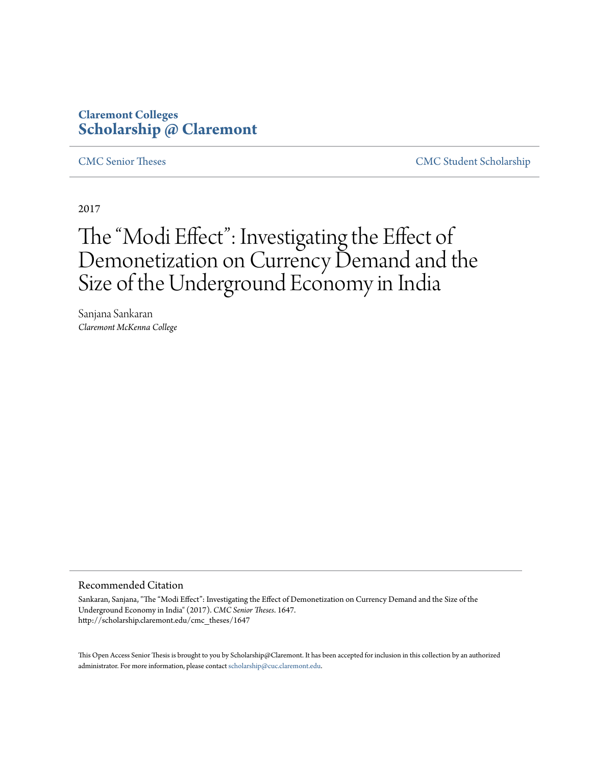# **Claremont Colleges [Scholarship @ Claremont](http://scholarship.claremont.edu)**

[CMC Senior Theses](http://scholarship.claremont.edu/cmc_theses) [CMC Student Scholarship](http://scholarship.claremont.edu/cmc_student)

2017

# The "Modi Effect": Investigating the Effect of Demonetization on Currency Demand and the Size of the Underground Economy in India

Sanjana Sankaran *Claremont McKenna College*

#### Recommended Citation

Sankaran, Sanjana, "The "Modi Effect": Investigating the Effect of Demonetization on Currency Demand and the Size of the Underground Economy in India" (2017). *CMC Senior Theses*. 1647. http://scholarship.claremont.edu/cmc\_theses/1647

This Open Access Senior Thesis is brought to you by Scholarship@Claremont. It has been accepted for inclusion in this collection by an authorized administrator. For more information, please contact [scholarship@cuc.claremont.edu.](mailto:scholarship@cuc.claremont.edu)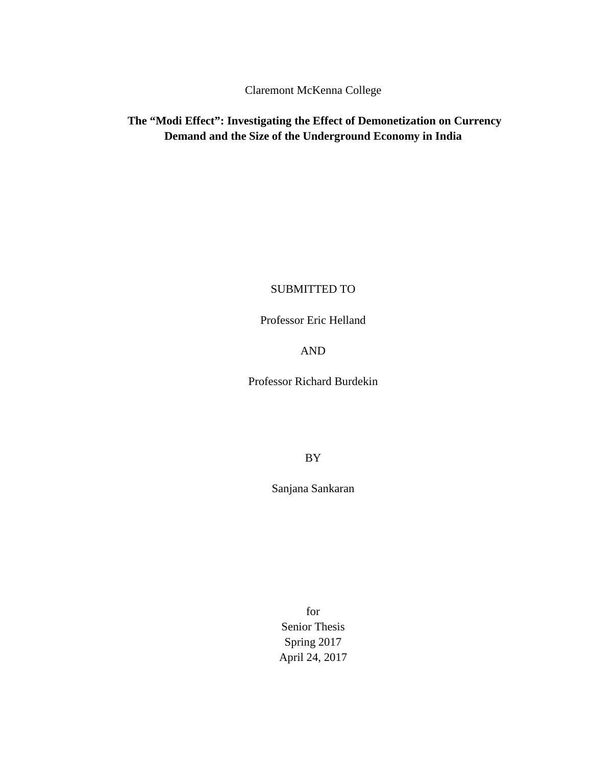Claremont McKenna College

# **The "Modi Effect": Investigating the Effect of Demonetization on Currency Demand and the Size of the Underground Economy in India**

# SUBMITTED TO

Professor Eric Helland

AND

Professor Richard Burdekin

BY

Sanjana Sankaran

for Senior Thesis Spring 2017 April 24, 2017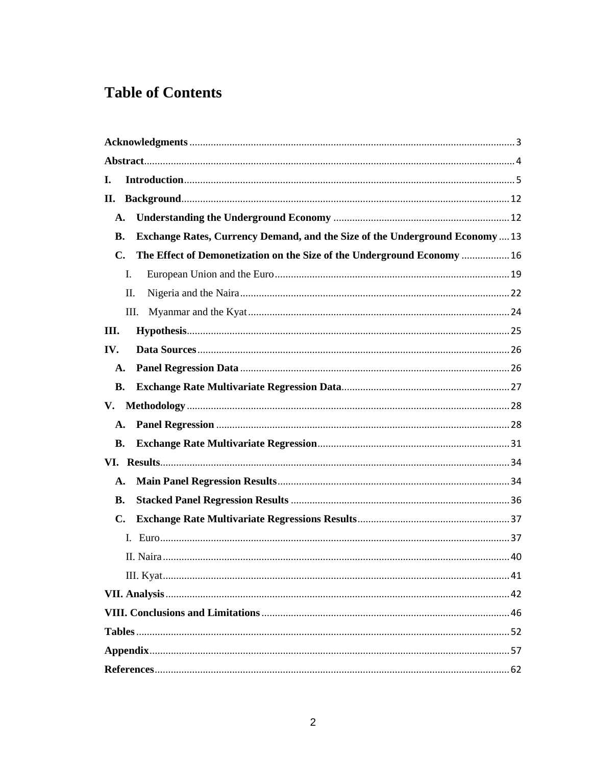# **Table of Contents**

| I.             |                                                                                    |  |
|----------------|------------------------------------------------------------------------------------|--|
| П.             |                                                                                    |  |
| A.             |                                                                                    |  |
| В.             | <b>Exchange Rates, Currency Demand, and the Size of the Underground Economy 13</b> |  |
| $\mathbf{C}$ . | The Effect of Demonetization on the Size of the Underground Economy  16            |  |
|                | I.                                                                                 |  |
|                | П.                                                                                 |  |
|                | Ш.                                                                                 |  |
| III.           |                                                                                    |  |
| IV.            |                                                                                    |  |
| A.             |                                                                                    |  |
| <b>B.</b>      |                                                                                    |  |
| V.             |                                                                                    |  |
| $\mathbf{A}$ . |                                                                                    |  |
| В.             |                                                                                    |  |
|                |                                                                                    |  |
| A.             |                                                                                    |  |
| В.             |                                                                                    |  |
| $\mathbf{C}$ . |                                                                                    |  |
|                |                                                                                    |  |
|                |                                                                                    |  |
|                |                                                                                    |  |
|                |                                                                                    |  |
|                |                                                                                    |  |
|                |                                                                                    |  |
|                |                                                                                    |  |
|                |                                                                                    |  |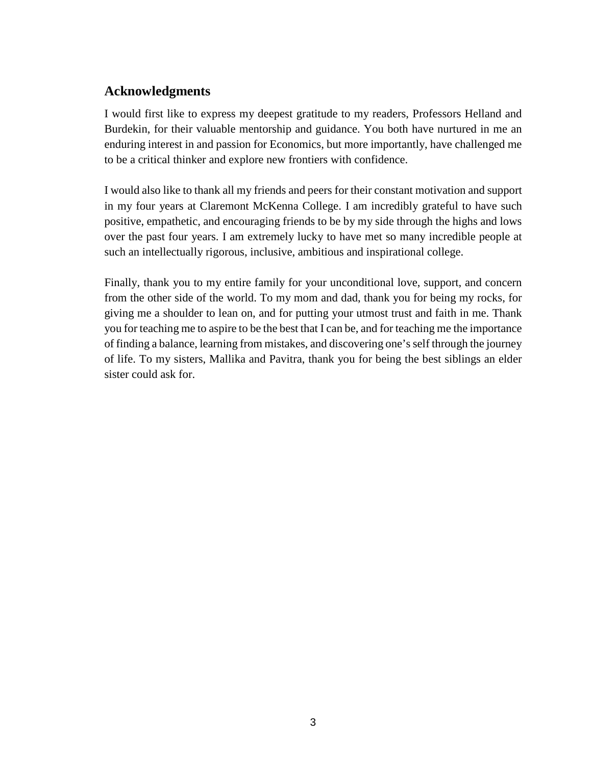# <span id="page-4-0"></span>**Acknowledgments**

I would first like to express my deepest gratitude to my readers, Professors Helland and Burdekin, for their valuable mentorship and guidance. You both have nurtured in me an enduring interest in and passion for Economics, but more importantly, have challenged me to be a critical thinker and explore new frontiers with confidence.

I would also like to thank all my friends and peers for their constant motivation and support in my four years at Claremont McKenna College. I am incredibly grateful to have such positive, empathetic, and encouraging friends to be by my side through the highs and lows over the past four years. I am extremely lucky to have met so many incredible people at such an intellectually rigorous, inclusive, ambitious and inspirational college.

Finally, thank you to my entire family for your unconditional love, support, and concern from the other side of the world. To my mom and dad, thank you for being my rocks, for giving me a shoulder to lean on, and for putting your utmost trust and faith in me. Thank you for teaching me to aspire to be the best that I can be, and for teaching me the importance of finding a balance, learning from mistakes, and discovering one's self through the journey of life. To my sisters, Mallika and Pavitra, thank you for being the best siblings an elder sister could ask for.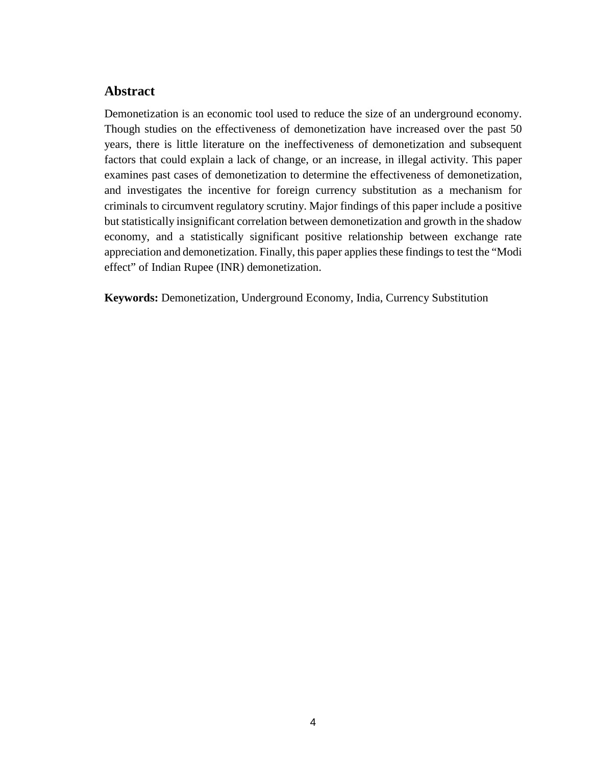# <span id="page-5-0"></span>**Abstract**

Demonetization is an economic tool used to reduce the size of an underground economy. Though studies on the effectiveness of demonetization have increased over the past 50 years, there is little literature on the ineffectiveness of demonetization and subsequent factors that could explain a lack of change, or an increase, in illegal activity. This paper examines past cases of demonetization to determine the effectiveness of demonetization, and investigates the incentive for foreign currency substitution as a mechanism for criminals to circumvent regulatory scrutiny. Major findings of this paper include a positive but statistically insignificant correlation between demonetization and growth in the shadow economy, and a statistically significant positive relationship between exchange rate appreciation and demonetization. Finally, this paper applies these findings to test the "Modi effect" of Indian Rupee (INR) demonetization.

**Keywords:** Demonetization, Underground Economy, India, Currency Substitution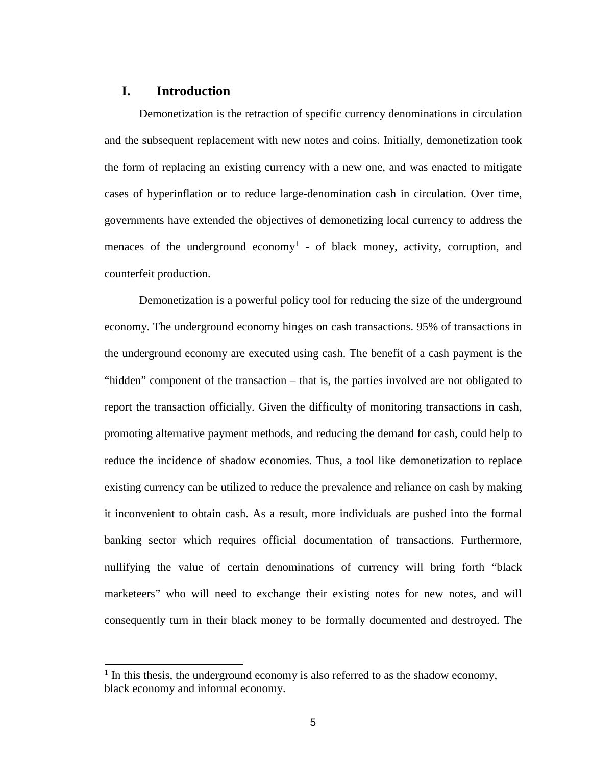# <span id="page-6-0"></span>**I. Introduction**

Demonetization is the retraction of specific currency denominations in circulation and the subsequent replacement with new notes and coins. Initially, demonetization took the form of replacing an existing currency with a new one, and was enacted to mitigate cases of hyperinflation or to reduce large-denomination cash in circulation. Over time, governments have extended the objectives of demonetizing local currency to address the menaces of the underground economy<sup>[1](#page-6-1)</sup> - of black money, activity, corruption, and counterfeit production.

Demonetization is a powerful policy tool for reducing the size of the underground economy. The underground economy hinges on cash transactions. 95% of transactions in the underground economy are executed using cash. The benefit of a cash payment is the "hidden" component of the transaction – that is, the parties involved are not obligated to report the transaction officially. Given the difficulty of monitoring transactions in cash, promoting alternative payment methods, and reducing the demand for cash, could help to reduce the incidence of shadow economies. Thus, a tool like demonetization to replace existing currency can be utilized to reduce the prevalence and reliance on cash by making it inconvenient to obtain cash. As a result, more individuals are pushed into the formal banking sector which requires official documentation of transactions. Furthermore, nullifying the value of certain denominations of currency will bring forth "black marketeers" who will need to exchange their existing notes for new notes, and will consequently turn in their black money to be formally documented and destroyed. The

<span id="page-6-1"></span> $<sup>1</sup>$  In this thesis, the underground economy is also referred to as the shadow economy,</sup> black economy and informal economy.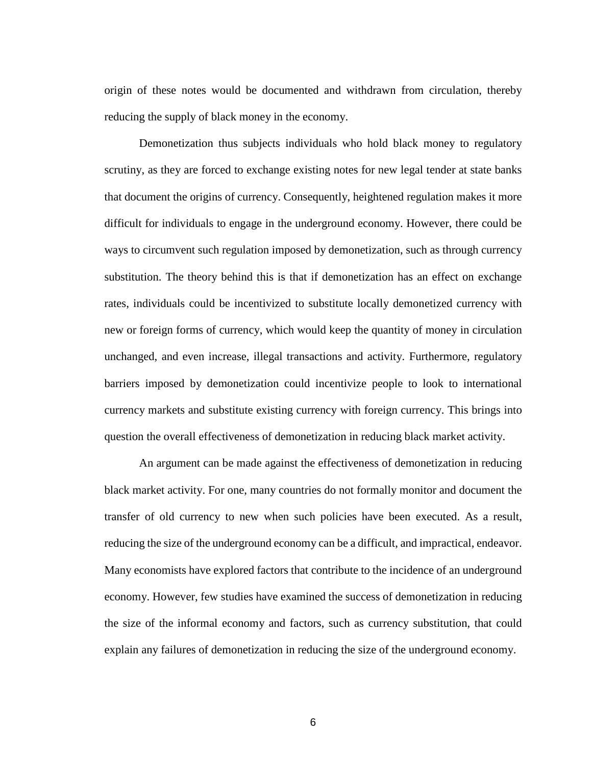origin of these notes would be documented and withdrawn from circulation, thereby reducing the supply of black money in the economy.

Demonetization thus subjects individuals who hold black money to regulatory scrutiny, as they are forced to exchange existing notes for new legal tender at state banks that document the origins of currency. Consequently, heightened regulation makes it more difficult for individuals to engage in the underground economy. However, there could be ways to circumvent such regulation imposed by demonetization, such as through currency substitution. The theory behind this is that if demonetization has an effect on exchange rates, individuals could be incentivized to substitute locally demonetized currency with new or foreign forms of currency, which would keep the quantity of money in circulation unchanged, and even increase, illegal transactions and activity. Furthermore, regulatory barriers imposed by demonetization could incentivize people to look to international currency markets and substitute existing currency with foreign currency. This brings into question the overall effectiveness of demonetization in reducing black market activity.

An argument can be made against the effectiveness of demonetization in reducing black market activity. For one, many countries do not formally monitor and document the transfer of old currency to new when such policies have been executed. As a result, reducing the size of the underground economy can be a difficult, and impractical, endeavor. Many economists have explored factors that contribute to the incidence of an underground economy. However, few studies have examined the success of demonetization in reducing the size of the informal economy and factors, such as currency substitution, that could explain any failures of demonetization in reducing the size of the underground economy.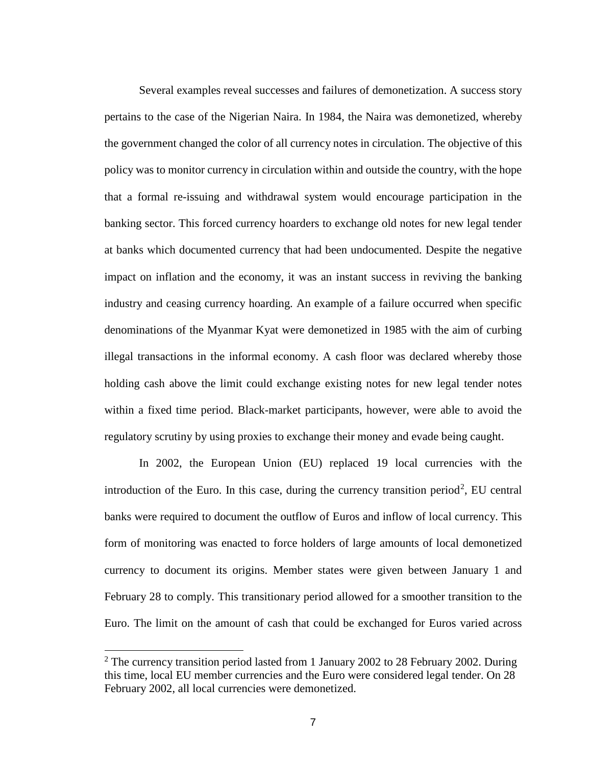Several examples reveal successes and failures of demonetization. A success story pertains to the case of the Nigerian Naira. In 1984, the Naira was demonetized, whereby the government changed the color of all currency notes in circulation. The objective of this policy was to monitor currency in circulation within and outside the country, with the hope that a formal re-issuing and withdrawal system would encourage participation in the banking sector. This forced currency hoarders to exchange old notes for new legal tender at banks which documented currency that had been undocumented. Despite the negative impact on inflation and the economy, it was an instant success in reviving the banking industry and ceasing currency hoarding. An example of a failure occurred when specific denominations of the Myanmar Kyat were demonetized in 1985 with the aim of curbing illegal transactions in the informal economy. A cash floor was declared whereby those holding cash above the limit could exchange existing notes for new legal tender notes within a fixed time period. Black-market participants, however, were able to avoid the regulatory scrutiny by using proxies to exchange their money and evade being caught.

In 2002, the European Union (EU) replaced 19 local currencies with the introduction of the Euro. In this case, during the currency transition period<sup>[2](#page-8-0)</sup>, EU central banks were required to document the outflow of Euros and inflow of local currency. This form of monitoring was enacted to force holders of large amounts of local demonetized currency to document its origins. Member states were given between January 1 and February 28 to comply. This transitionary period allowed for a smoother transition to the Euro. The limit on the amount of cash that could be exchanged for Euros varied across

<span id="page-8-0"></span> $2$  The currency transition period lasted from 1 January 2002 to 28 February 2002. During this time, local EU member currencies and the Euro were considered legal tender. On 28 February 2002, all local currencies were demonetized.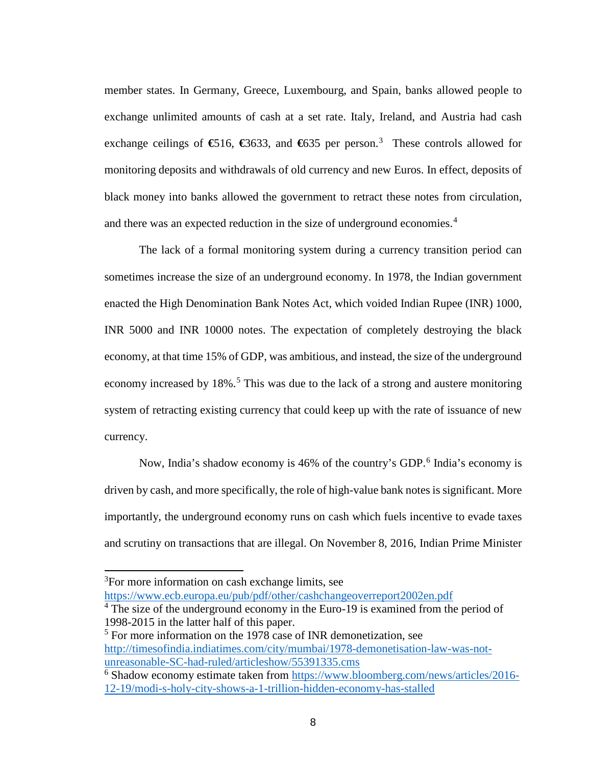member states. In Germany, Greece, Luxembourg, and Spain, banks allowed people to exchange unlimited amounts of cash at a set rate. Italy, Ireland, and Austria had cash exchange ceilings of **€**516, **€**3633, and **€**635 per person.[3](#page-9-0) These controls allowed for monitoring deposits and withdrawals of old currency and new Euros. In effect, deposits of black money into banks allowed the government to retract these notes from circulation, and there was an expected reduction in the size of underground economies. [4](#page-9-1)

The lack of a formal monitoring system during a currency transition period can sometimes increase the size of an underground economy. In 1978, the Indian government enacted the High Denomination Bank Notes Act, which voided Indian Rupee (INR) 1000, INR 5000 and INR 10000 notes. The expectation of completely destroying the black economy, at that time 15% of GDP, was ambitious, and instead, the size of the underground economy increased by 18%.<sup>[5](#page-9-2)</sup> This was due to the lack of a strong and austere monitoring system of retracting existing currency that could keep up with the rate of issuance of new currency.

Now, India's shadow economy is 4[6](#page-9-3)% of the country's GDP.<sup>6</sup> India's economy is driven by cash, and more specifically, the role of high-value bank notes is significant. More importantly, the underground economy runs on cash which fuels incentive to evade taxes and scrutiny on transactions that are illegal. On November 8, 2016, Indian Prime Minister

<span id="page-9-0"></span><sup>&</sup>lt;sup>3</sup>For more information on cash exchange limits, see <https://www.ecb.europa.eu/pub/pdf/other/cashchangeoverreport2002en.pdf>

<span id="page-9-1"></span><sup>&</sup>lt;sup>4</sup> The size of the underground economy in the Euro-19 is examined from the period of 1998-2015 in the latter half of this paper.

<span id="page-9-2"></span> $5$  For more information on the 1978 case of INR demonetization, see [http://timesofindia.indiatimes.com/city/mumbai/1978-demonetisation-law-was-not](http://timesofindia.indiatimes.com/city/mumbai/1978-demonetisation-law-was-not-unreasonable-SC-had-ruled/articleshow/55391335.cms)[unreasonable-SC-had-ruled/articleshow/55391335.cms](http://timesofindia.indiatimes.com/city/mumbai/1978-demonetisation-law-was-not-unreasonable-SC-had-ruled/articleshow/55391335.cms)

<span id="page-9-3"></span><sup>6</sup> Shadow economy estimate taken from [https://www.bloomberg.com/news/articles/2016-](https://www.bloomberg.com/news/articles/2016-12-19/modi-s-holy-city-shows-a-1-trillion-hidden-economy-has-stalled) [12-19/modi-s-holy-city-shows-a-1-trillion-hidden-economy-has-stalled](https://www.bloomberg.com/news/articles/2016-12-19/modi-s-holy-city-shows-a-1-trillion-hidden-economy-has-stalled)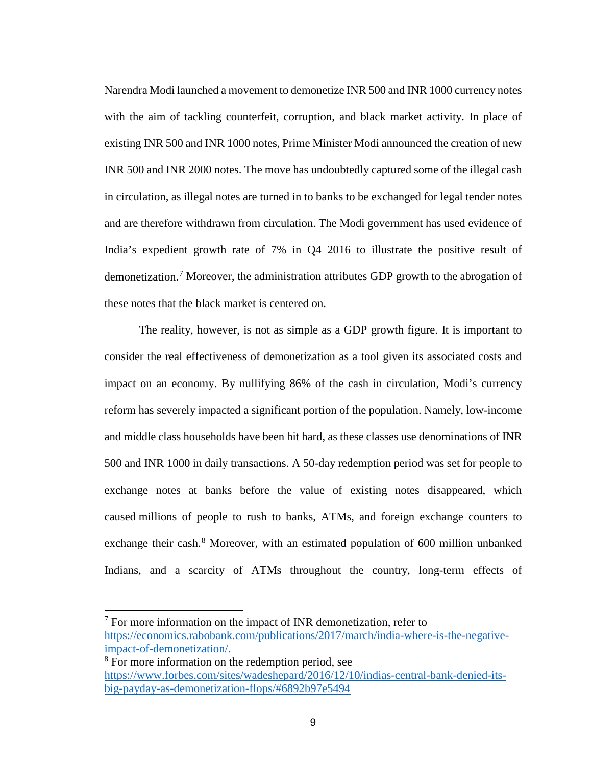Narendra Modi launched a movement to demonetize INR 500 and INR 1000 currency notes with the aim of tackling counterfeit, corruption, and black market activity. In place of existing INR 500 and INR 1000 notes, Prime Minister Modi announced the creation of new INR 500 and INR 2000 notes. The move has undoubtedly captured some of the illegal cash in circulation, as illegal notes are turned in to banks to be exchanged for legal tender notes and are therefore withdrawn from circulation. The Modi government has used evidence of India's expedient growth rate of 7% in Q4 2016 to illustrate the positive result of demonetization. [7](#page-10-0) Moreover, the administration attributes GDP growth to the abrogation of these notes that the black market is centered on.

The reality, however, is not as simple as a GDP growth figure. It is important to consider the real effectiveness of demonetization as a tool given its associated costs and impact on an economy. By nullifying 86% of the cash in circulation, Modi's currency reform has severely impacted a significant portion of the population. Namely, low-income and middle class households have been hit hard, as these classes use denominations of INR 500 and INR 1000 in daily transactions. A 50-day redemption period was set for people to exchange notes at banks before the value of existing notes disappeared, which caused millions of people to rush to banks, ATMs, and foreign exchange counters to exchange their cash.<sup>[8](#page-10-1)</sup> Moreover, with an estimated population of 600 million unbanked Indians, and a scarcity of ATMs throughout the country, long-term effects of

<span id="page-10-0"></span> $<sup>7</sup>$  For more information on the impact of INR demonetization, refer to</sup> [https://economics.rabobank.com/publications/2017/march/india-where-is-the-negative](https://economics.rabobank.com/publications/2017/march/india-where-is-the-negative-impact-of-demonetization/)[impact-of-demonetization/.](https://economics.rabobank.com/publications/2017/march/india-where-is-the-negative-impact-of-demonetization/)

<span id="page-10-1"></span><sup>8</sup> For more information on the redemption period, see [https://www.forbes.com/sites/wadeshepard/2016/12/10/indias-central-bank-denied-its](https://www.forbes.com/sites/wadeshepard/2016/12/10/indias-central-bank-denied-its-big-payday-as-demonetization-flops/#6892b97e5494)[big-payday-as-demonetization-flops/#6892b97e5494](https://www.forbes.com/sites/wadeshepard/2016/12/10/indias-central-bank-denied-its-big-payday-as-demonetization-flops/#6892b97e5494)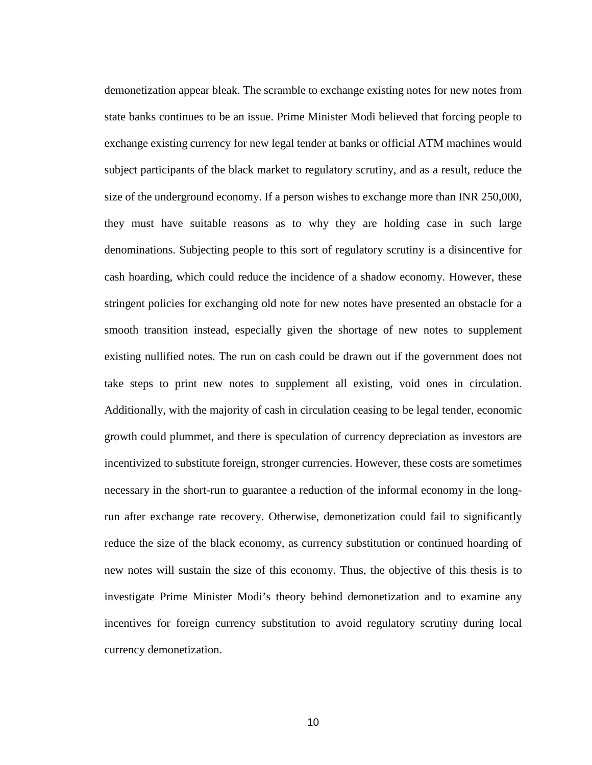demonetization appear bleak. The scramble to exchange existing notes for new notes from state banks continues to be an issue. Prime Minister Modi believed that forcing people to exchange existing currency for new legal tender at banks or official ATM machines would subject participants of the black market to regulatory scrutiny, and as a result, reduce the size of the underground economy. If a person wishes to exchange more than INR 250,000, they must have suitable reasons as to why they are holding case in such large denominations. Subjecting people to this sort of regulatory scrutiny is a disincentive for cash hoarding, which could reduce the incidence of a shadow economy. However, these stringent policies for exchanging old note for new notes have presented an obstacle for a smooth transition instead, especially given the shortage of new notes to supplement existing nullified notes. The run on cash could be drawn out if the government does not take steps to print new notes to supplement all existing, void ones in circulation. Additionally, with the majority of cash in circulation ceasing to be legal tender, economic growth could plummet, and there is speculation of currency depreciation as investors are incentivized to substitute foreign, stronger currencies. However, these costs are sometimes necessary in the short-run to guarantee a reduction of the informal economy in the longrun after exchange rate recovery. Otherwise, demonetization could fail to significantly reduce the size of the black economy, as currency substitution or continued hoarding of new notes will sustain the size of this economy. Thus, the objective of this thesis is to investigate Prime Minister Modi's theory behind demonetization and to examine any incentives for foreign currency substitution to avoid regulatory scrutiny during local currency demonetization.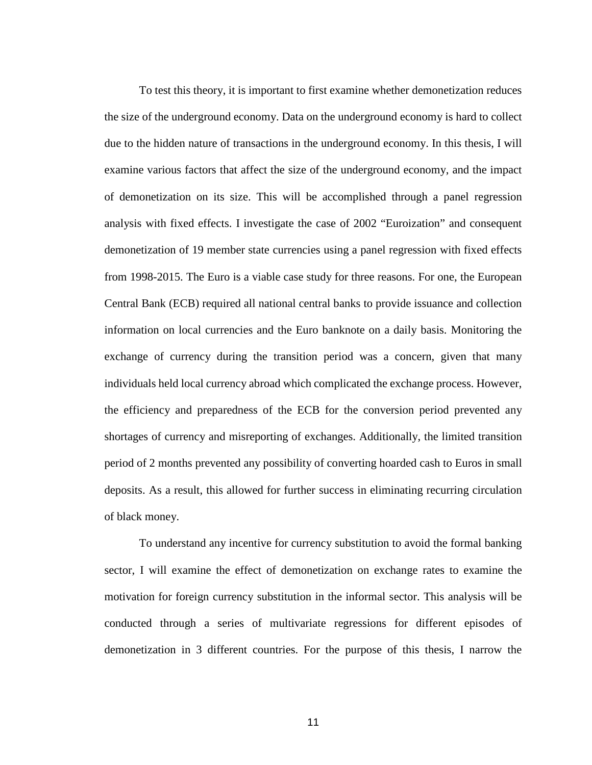To test this theory, it is important to first examine whether demonetization reduces the size of the underground economy. Data on the underground economy is hard to collect due to the hidden nature of transactions in the underground economy. In this thesis, I will examine various factors that affect the size of the underground economy, and the impact of demonetization on its size. This will be accomplished through a panel regression analysis with fixed effects. I investigate the case of 2002 "Euroization" and consequent demonetization of 19 member state currencies using a panel regression with fixed effects from 1998-2015. The Euro is a viable case study for three reasons. For one, the European Central Bank (ECB) required all national central banks to provide issuance and collection information on local currencies and the Euro banknote on a daily basis. Monitoring the exchange of currency during the transition period was a concern, given that many individuals held local currency abroad which complicated the exchange process. However, the efficiency and preparedness of the ECB for the conversion period prevented any shortages of currency and misreporting of exchanges. Additionally, the limited transition period of 2 months prevented any possibility of converting hoarded cash to Euros in small deposits. As a result, this allowed for further success in eliminating recurring circulation of black money.

To understand any incentive for currency substitution to avoid the formal banking sector, I will examine the effect of demonetization on exchange rates to examine the motivation for foreign currency substitution in the informal sector. This analysis will be conducted through a series of multivariate regressions for different episodes of demonetization in 3 different countries. For the purpose of this thesis, I narrow the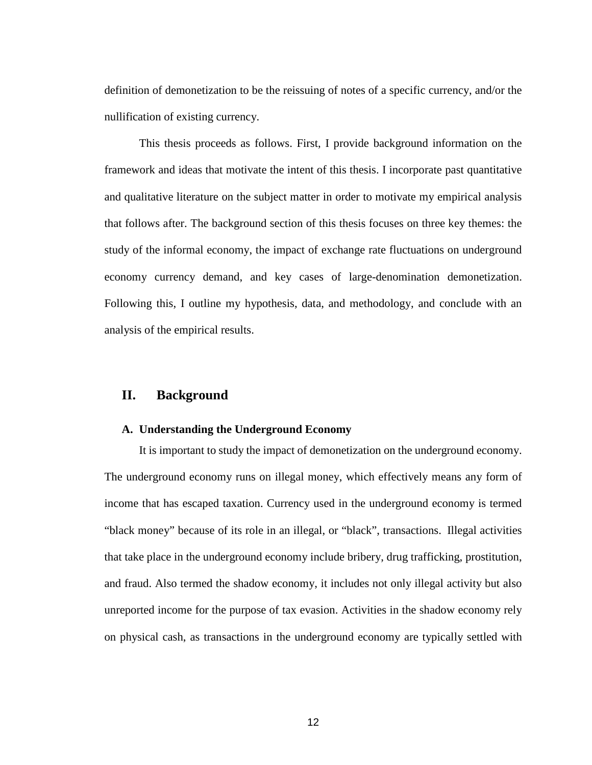definition of demonetization to be the reissuing of notes of a specific currency, and/or the nullification of existing currency.

This thesis proceeds as follows. First, I provide background information on the framework and ideas that motivate the intent of this thesis. I incorporate past quantitative and qualitative literature on the subject matter in order to motivate my empirical analysis that follows after. The background section of this thesis focuses on three key themes: the study of the informal economy, the impact of exchange rate fluctuations on underground economy currency demand, and key cases of large-denomination demonetization. Following this, I outline my hypothesis, data, and methodology, and conclude with an analysis of the empirical results.

#### <span id="page-13-0"></span>**II. Background**

#### <span id="page-13-1"></span>**A. Understanding the Underground Economy**

It is important to study the impact of demonetization on the underground economy. The underground economy runs on illegal money, which effectively means any form of income that has escaped taxation. Currency used in the underground economy is termed "black money" because of its role in an illegal, or "black", transactions. Illegal activities that take place in the underground economy include bribery, drug trafficking, prostitution, and fraud. Also termed the shadow economy, it includes not only illegal activity but also unreported income for the purpose of tax evasion. Activities in the shadow economy rely on physical cash, as transactions in the underground economy are typically settled with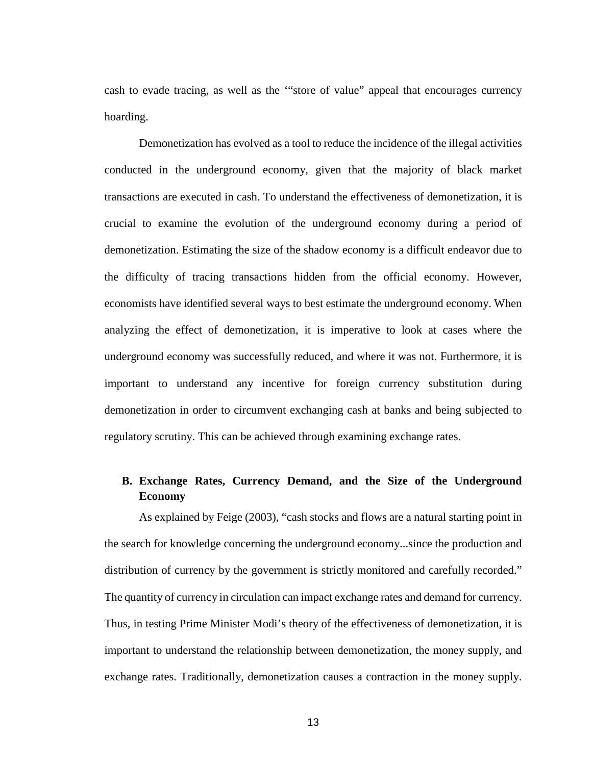cash to evade tracing, as well as the '"store of value" appeal that encourages currency hoarding.

Demonetization has evolved as a tool to reduce the incidence of the illegal activities conducted in the underground economy, given that the majority of black market transactions are executed in cash. To understand the effectiveness of demonetization, it is crucial to examine the evolution of the underground economy during a period of demonetization. Estimating the size of the shadow economy is a difficult endeavor due to the difficulty of tracing transactions hidden from the official economy. However, economists have identified several ways to best estimate the underground economy. When analyzing the effect of demonetization, it is imperative to look at cases where the underground economy was successfully reduced, and where it was not. Furthermore, it is important to understand any incentive for foreign currency substitution during demonetization in order to circumvent exchanging cash at banks and being subjected to regulatory scrutiny. This can be achieved through examining exchange rates.

# <span id="page-14-0"></span>**B. Exchange Rates, Currency Demand, and the Size of the Underground Economy**

As explained by Feige (2003), "cash stocks and flows are a natural starting point in the search for knowledge concerning the underground economy...since the production and distribution of currency by the government is strictly monitored and carefully recorded." The quantity of currency in circulation can impact exchange rates and demand for currency. Thus, in testing Prime Minister Modi's theory of the effectiveness of demonetization, it is important to understand the relationship between demonetization, the money supply, and exchange rates. Traditionally, demonetization causes a contraction in the money supply.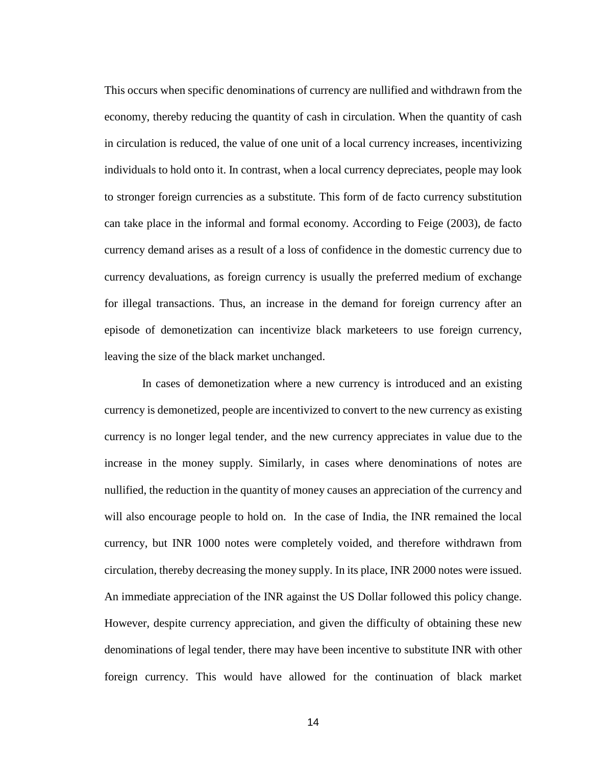This occurs when specific denominations of currency are nullified and withdrawn from the economy, thereby reducing the quantity of cash in circulation. When the quantity of cash in circulation is reduced, the value of one unit of a local currency increases, incentivizing individuals to hold onto it. In contrast, when a local currency depreciates, people may look to stronger foreign currencies as a substitute. This form of de facto currency substitution can take place in the informal and formal economy. According to Feige (2003), de facto currency demand arises as a result of a loss of confidence in the domestic currency due to currency devaluations, as foreign currency is usually the preferred medium of exchange for illegal transactions. Thus, an increase in the demand for foreign currency after an episode of demonetization can incentivize black marketeers to use foreign currency, leaving the size of the black market unchanged.

In cases of demonetization where a new currency is introduced and an existing currency is demonetized, people are incentivized to convert to the new currency as existing currency is no longer legal tender, and the new currency appreciates in value due to the increase in the money supply. Similarly, in cases where denominations of notes are nullified, the reduction in the quantity of money causes an appreciation of the currency and will also encourage people to hold on. In the case of India, the INR remained the local currency, but INR 1000 notes were completely voided, and therefore withdrawn from circulation, thereby decreasing the money supply. In its place, INR 2000 notes were issued. An immediate appreciation of the INR against the US Dollar followed this policy change. However, despite currency appreciation, and given the difficulty of obtaining these new denominations of legal tender, there may have been incentive to substitute INR with other foreign currency. This would have allowed for the continuation of black market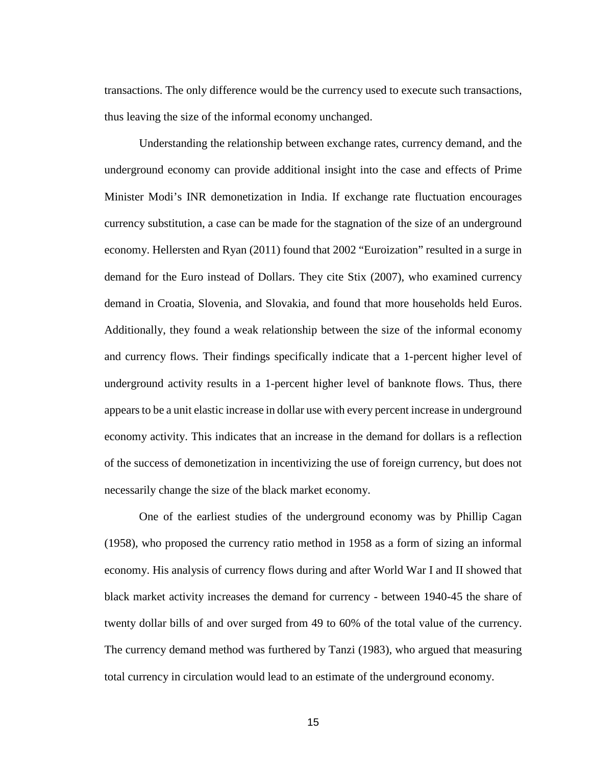transactions. The only difference would be the currency used to execute such transactions, thus leaving the size of the informal economy unchanged.

Understanding the relationship between exchange rates, currency demand, and the underground economy can provide additional insight into the case and effects of Prime Minister Modi's INR demonetization in India. If exchange rate fluctuation encourages currency substitution, a case can be made for the stagnation of the size of an underground economy. Hellersten and Ryan (2011) found that 2002 "Euroization" resulted in a surge in demand for the Euro instead of Dollars. They cite Stix (2007), who examined currency demand in Croatia, Slovenia, and Slovakia, and found that more households held Euros. Additionally, they found a weak relationship between the size of the informal economy and currency flows. Their findings specifically indicate that a 1-percent higher level of underground activity results in a 1-percent higher level of banknote flows. Thus, there appears to be a unit elastic increase in dollar use with every percent increase in underground economy activity. This indicates that an increase in the demand for dollars is a reflection of the success of demonetization in incentivizing the use of foreign currency, but does not necessarily change the size of the black market economy.

One of the earliest studies of the underground economy was by Phillip Cagan (1958), who proposed the currency ratio method in 1958 as a form of sizing an informal economy. His analysis of currency flows during and after World War I and II showed that black market activity increases the demand for currency - between 1940-45 the share of twenty dollar bills of and over surged from 49 to 60% of the total value of the currency. The currency demand method was furthered by Tanzi (1983), who argued that measuring total currency in circulation would lead to an estimate of the underground economy.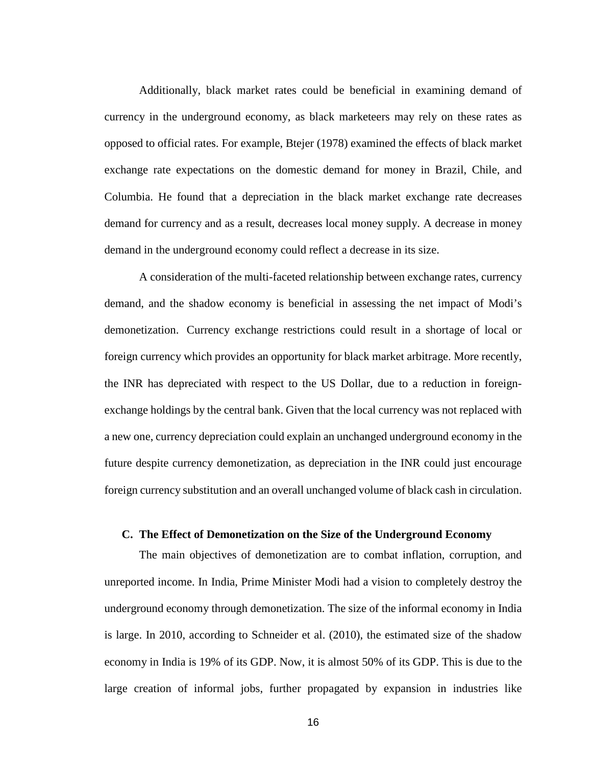Additionally, black market rates could be beneficial in examining demand of currency in the underground economy, as black marketeers may rely on these rates as opposed to official rates. For example, Btejer (1978) examined the effects of black market exchange rate expectations on the domestic demand for money in Brazil, Chile, and Columbia. He found that a depreciation in the black market exchange rate decreases demand for currency and as a result, decreases local money supply. A decrease in money demand in the underground economy could reflect a decrease in its size.

A consideration of the multi-faceted relationship between exchange rates, currency demand, and the shadow economy is beneficial in assessing the net impact of Modi's demonetization. Currency exchange restrictions could result in a shortage of local or foreign currency which provides an opportunity for black market arbitrage. More recently, the INR has depreciated with respect to the US Dollar, due to a reduction in foreignexchange holdings by the central bank. Given that the local currency was not replaced with a new one, currency depreciation could explain an unchanged underground economy in the future despite currency demonetization, as depreciation in the INR could just encourage foreign currency substitution and an overall unchanged volume of black cash in circulation.

#### <span id="page-17-0"></span>**C. The Effect of Demonetization on the Size of the Underground Economy**

The main objectives of demonetization are to combat inflation, corruption, and unreported income. In India, Prime Minister Modi had a vision to completely destroy the underground economy through demonetization. The size of the informal economy in India is large. In 2010, according to Schneider et al. (2010), the estimated size of the shadow economy in India is 19% of its GDP. Now, it is almost 50% of its GDP. This is due to the large creation of informal jobs, further propagated by expansion in industries like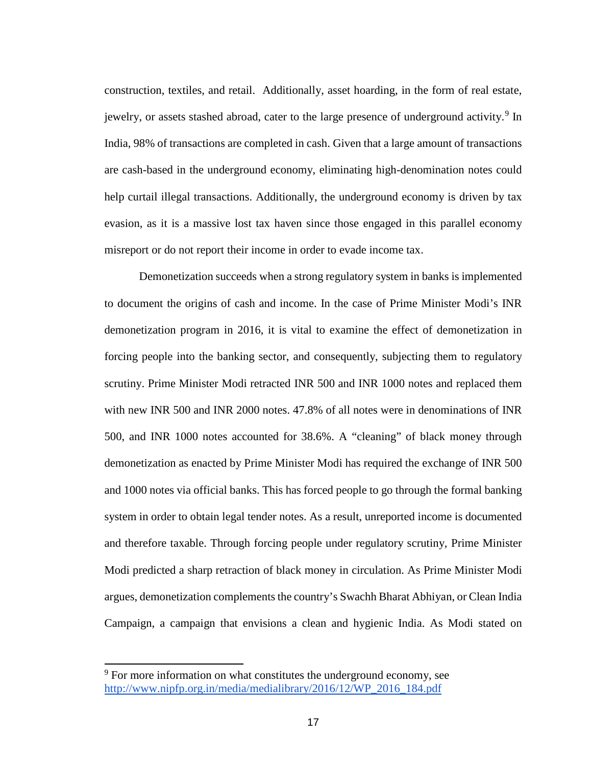construction, textiles, and retail. Additionally, asset hoarding, in the form of real estate, jewelry, or assets stashed abroad, cater to the large presence of underground activity.<sup>[9](#page-18-0)</sup> In India, 98% of transactions are completed in cash. Given that a large amount of transactions are cash-based in the underground economy, eliminating high-denomination notes could help curtail illegal transactions. Additionally, the underground economy is driven by tax evasion, as it is a massive lost tax haven since those engaged in this parallel economy misreport or do not report their income in order to evade income tax.

Demonetization succeeds when a strong regulatory system in banks is implemented to document the origins of cash and income. In the case of Prime Minister Modi's INR demonetization program in 2016, it is vital to examine the effect of demonetization in forcing people into the banking sector, and consequently, subjecting them to regulatory scrutiny. Prime Minister Modi retracted INR 500 and INR 1000 notes and replaced them with new INR 500 and INR 2000 notes. 47.8% of all notes were in denominations of INR 500, and INR 1000 notes accounted for 38.6%. A "cleaning" of black money through demonetization as enacted by Prime Minister Modi has required the exchange of INR 500 and 1000 notes via official banks. This has forced people to go through the formal banking system in order to obtain legal tender notes. As a result, unreported income is documented and therefore taxable. Through forcing people under regulatory scrutiny, Prime Minister Modi predicted a sharp retraction of black money in circulation. As Prime Minister Modi argues, demonetization complements the country's Swachh Bharat Abhiyan, or Clean India Campaign, a campaign that envisions a clean and hygienic India. As Modi stated on

<span id="page-18-0"></span><sup>&</sup>lt;sup>9</sup> For more information on what constitutes the underground economy, see [http://www.nipfp.org.in/media/medialibrary/2016/12/WP\\_2016\\_184.pdf](http://www.nipfp.org.in/media/medialibrary/2016/12/WP_2016_184.pdf)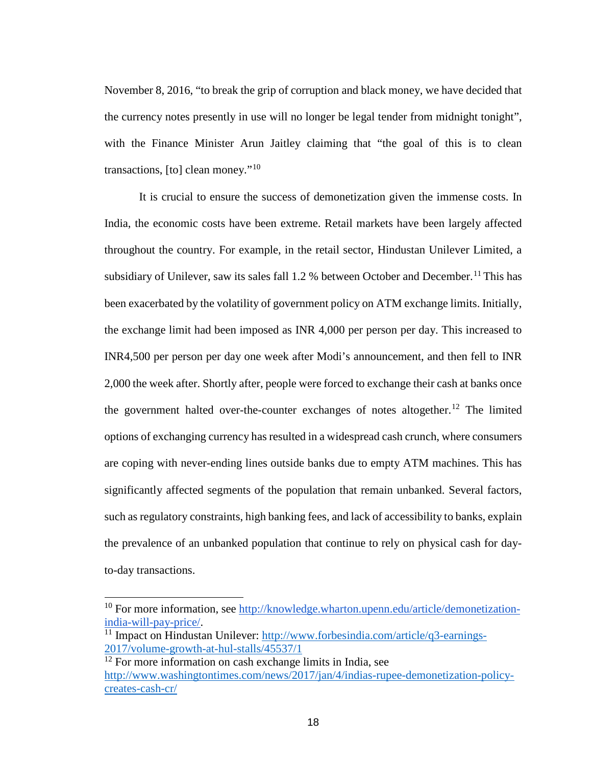November 8, 2016, "to break the grip of corruption and black money, we have decided that the currency notes presently in use will no longer be legal tender from midnight tonight", with the Finance Minister Arun Jaitley claiming that "the goal of this is to clean transactions,  $[$ to $]$  clean money."<sup>[10](#page-19-0)</sup>

It is crucial to ensure the success of demonetization given the immense costs. In India, the economic costs have been extreme. Retail markets have been largely affected throughout the country. For example, in the retail sector, Hindustan Unilever Limited, a subsidiary of Unilever, saw its sales fall 1.2 % between October and December.<sup>[11](#page-19-1)</sup> This has been exacerbated by the volatility of government policy on ATM exchange limits. Initially, the exchange limit had been imposed as INR 4,000 per person per day. This increased to INR4,500 per person per day one week after Modi's announcement, and then fell to INR 2,000 the week after. Shortly after, people were forced to exchange their cash at banks once the government halted over-the-counter exchanges of notes altogether.<sup>[12](#page-19-2)</sup> The limited options of exchanging currency has resulted in a widespread cash crunch, where consumers are coping with never-ending lines outside banks due to empty ATM machines. This has significantly affected segments of the population that remain unbanked. Several factors, such as regulatory constraints, high banking fees, and lack of accessibility to banks, explain the prevalence of an unbanked population that continue to rely on physical cash for dayto-day transactions.

<span id="page-19-0"></span><sup>&</sup>lt;sup>10</sup> For more information, see [http://knowledge.wharton.upenn.edu/article/demonetization](http://knowledge.wharton.upenn.edu/article/demonetization-india-will-pay-price/)[india-will-pay-price/.](http://knowledge.wharton.upenn.edu/article/demonetization-india-will-pay-price/)

<span id="page-19-1"></span><sup>&</sup>lt;sup>11</sup> Impact on Hindustan Unilever: [http://www.forbesindia.com/article/q3-earnings-](http://www.forbesindia.com/article/q3-earnings-2017/volume-growth-at-hul-stalls/45537/1)[2017/volume-growth-at-hul-stalls/45537/1](http://www.forbesindia.com/article/q3-earnings-2017/volume-growth-at-hul-stalls/45537/1)

<span id="page-19-2"></span><sup>&</sup>lt;sup>12</sup> For more information on cash exchange limits in India, see [http://www.washingtontimes.com/news/2017/jan/4/indias-rupee-demonetization-policy](http://www.washingtontimes.com/news/2017/jan/4/indias-rupee-demonetization-policy-creates-cash-cr/)[creates-cash-cr/](http://www.washingtontimes.com/news/2017/jan/4/indias-rupee-demonetization-policy-creates-cash-cr/)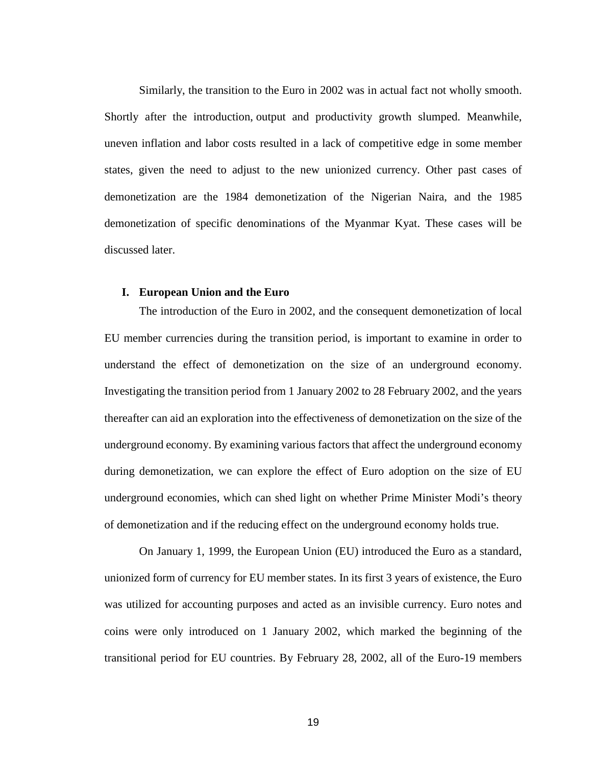Similarly, the transition to the Euro in 2002 was in actual fact not wholly smooth. Shortly after the introduction, output and productivity growth slumped. Meanwhile, uneven inflation and labor costs resulted in a lack of competitive edge in some member states, given the need to adjust to the new unionized currency. Other past cases of demonetization are the 1984 demonetization of the Nigerian Naira, and the 1985 demonetization of specific denominations of the Myanmar Kyat. These cases will be discussed later.

#### <span id="page-20-0"></span>**I. European Union and the Euro**

The introduction of the Euro in 2002, and the consequent demonetization of local EU member currencies during the transition period, is important to examine in order to understand the effect of demonetization on the size of an underground economy. Investigating the transition period from 1 January 2002 to 28 February 2002, and the years thereafter can aid an exploration into the effectiveness of demonetization on the size of the underground economy. By examining various factors that affect the underground economy during demonetization, we can explore the effect of Euro adoption on the size of EU underground economies, which can shed light on whether Prime Minister Modi's theory of demonetization and if the reducing effect on the underground economy holds true.

On January 1, 1999, the European Union (EU) introduced the Euro as a standard, unionized form of currency for EU member states. In its first 3 years of existence, the Euro was utilized for accounting purposes and acted as an invisible currency. Euro notes and coins were only introduced on 1 January 2002, which marked the beginning of the transitional period for EU countries. By February 28, 2002, all of the Euro-19 members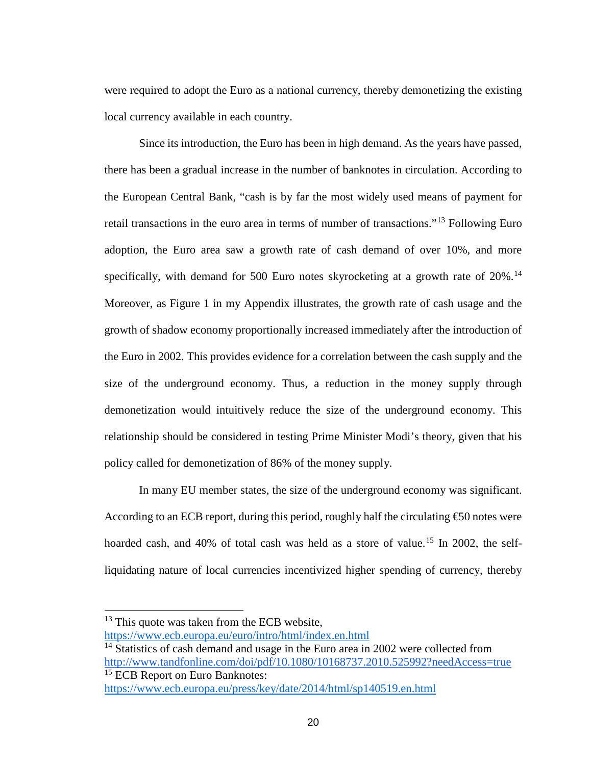were required to adopt the Euro as a national currency, thereby demonetizing the existing local currency available in each country.

Since its introduction, the Euro has been in high demand. As the years have passed, there has been a gradual increase in the number of banknotes in circulation. According to the European Central Bank, "cash is by far the most widely used means of payment for retail transactions in the euro area in terms of number of transactions."[13](#page-21-0) Following Euro adoption, the Euro area saw a growth rate of cash demand of over 10%, and more specifically, with demand for 500 Euro notes skyrocketing at a growth rate of 20%.<sup>[14](#page-21-1)</sup> Moreover, as Figure 1 in my Appendix illustrates, the growth rate of cash usage and the growth of shadow economy proportionally increased immediately after the introduction of the Euro in 2002. This provides evidence for a correlation between the cash supply and the size of the underground economy. Thus, a reduction in the money supply through demonetization would intuitively reduce the size of the underground economy. This relationship should be considered in testing Prime Minister Modi's theory, given that his policy called for demonetization of 86% of the money supply.

In many EU member states, the size of the underground economy was significant. According to an ECB report, during this period, roughly half the circulating  $\epsilon$  = 60 notes were hoarded cash, and 40% of total cash was held as a store of value.<sup>[15](#page-21-2)</sup> In 2002, the selfliquidating nature of local currencies incentivized higher spending of currency, thereby

<span id="page-21-0"></span><sup>&</sup>lt;sup>13</sup> This quote was taken from the ECB website,

<https://www.ecb.europa.eu/euro/intro/html/index.en.html>

<span id="page-21-1"></span><sup>&</sup>lt;sup>14</sup> Statistics of cash demand and usage in the Euro area in 2002 were collected from <http://www.tandfonline.com/doi/pdf/10.1080/10168737.2010.525992?needAccess=true> <sup>15</sup> ECB Report on Euro Banknotes:

<span id="page-21-2"></span><https://www.ecb.europa.eu/press/key/date/2014/html/sp140519.en.html>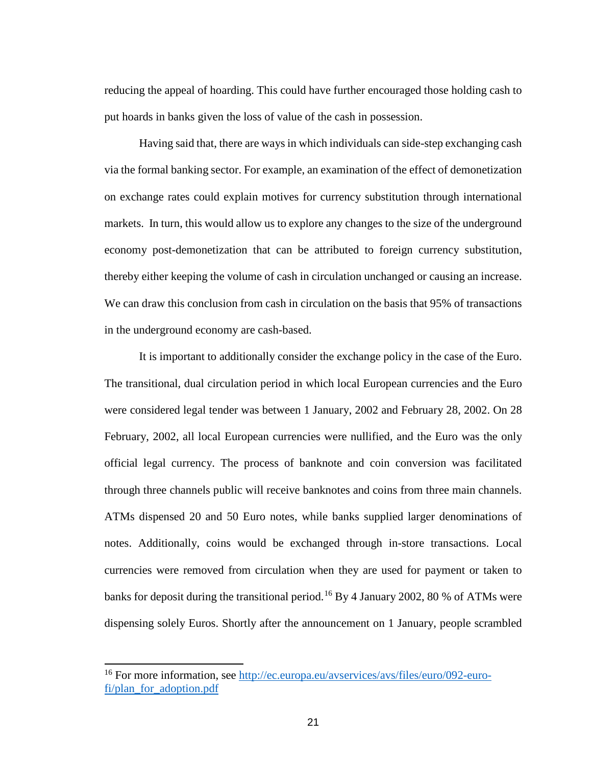reducing the appeal of hoarding. This could have further encouraged those holding cash to put hoards in banks given the loss of value of the cash in possession.

Having said that, there are ways in which individuals can side-step exchanging cash via the formal banking sector. For example, an examination of the effect of demonetization on exchange rates could explain motives for currency substitution through international markets. In turn, this would allow us to explore any changes to the size of the underground economy post-demonetization that can be attributed to foreign currency substitution, thereby either keeping the volume of cash in circulation unchanged or causing an increase. We can draw this conclusion from cash in circulation on the basis that 95% of transactions in the underground economy are cash-based.

It is important to additionally consider the exchange policy in the case of the Euro. The transitional, dual circulation period in which local European currencies and the Euro were considered legal tender was between 1 January, 2002 and February 28, 2002. On 28 February, 2002, all local European currencies were nullified, and the Euro was the only official legal currency. The process of banknote and coin conversion was facilitated through three channels public will receive banknotes and coins from three main channels. ATMs dispensed 20 and 50 Euro notes, while banks supplied larger denominations of notes. Additionally, coins would be exchanged through in-store transactions. Local currencies were removed from circulation when they are used for payment or taken to banks for deposit during the transitional period.<sup>[16](#page-22-0)</sup> By 4 January 2002, 80 % of ATMs were dispensing solely Euros. Shortly after the announcement on 1 January, people scrambled

<span id="page-22-0"></span><sup>16</sup> For more information, see [http://ec.europa.eu/avservices/avs/files/euro/092-euro](http://ec.europa.eu/avservices/avs/files/euro/092-euro-fi/plan_for_adoption.pdf)[fi/plan\\_for\\_adoption.pdf](http://ec.europa.eu/avservices/avs/files/euro/092-euro-fi/plan_for_adoption.pdf)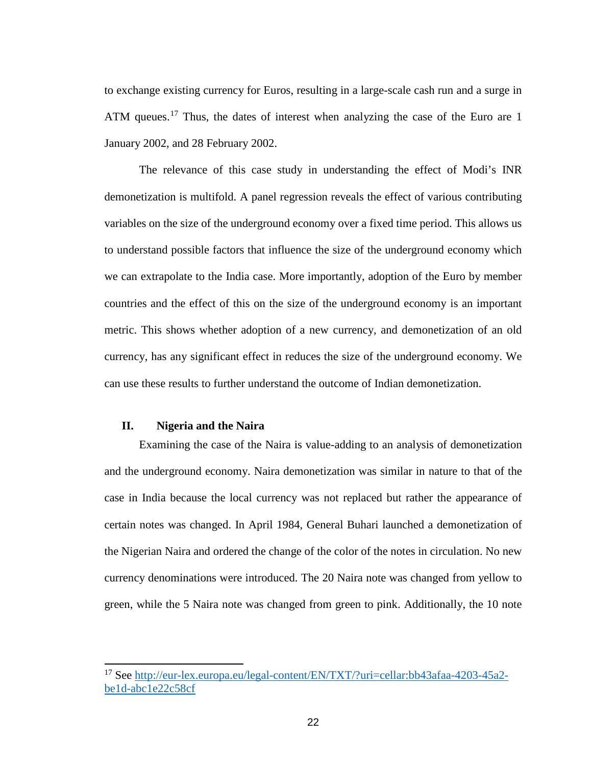to exchange existing currency for Euros, resulting in a large-scale cash run and a surge in ATM queues.<sup>[17](#page-23-1)</sup> Thus, the dates of interest when analyzing the case of the Euro are 1 January 2002, and 28 February 2002.

The relevance of this case study in understanding the effect of Modi's INR demonetization is multifold. A panel regression reveals the effect of various contributing variables on the size of the underground economy over a fixed time period. This allows us to understand possible factors that influence the size of the underground economy which we can extrapolate to the India case. More importantly, adoption of the Euro by member countries and the effect of this on the size of the underground economy is an important metric. This shows whether adoption of a new currency, and demonetization of an old currency, has any significant effect in reduces the size of the underground economy. We can use these results to further understand the outcome of Indian demonetization.

#### <span id="page-23-0"></span>**II. Nigeria and the Naira**

Examining the case of the Naira is value-adding to an analysis of demonetization and the underground economy. Naira demonetization was similar in nature to that of the case in India because the local currency was not replaced but rather the appearance of certain notes was changed. In April 1984, General Buhari launched a demonetization of the Nigerian Naira and ordered the change of the color of the notes in circulation. No new currency denominations were introduced. The 20 Naira note was changed from yellow to green, while the 5 Naira note was changed from green to pink. Additionally, the 10 note

<span id="page-23-1"></span><sup>17</sup> See [http://eur-lex.europa.eu/legal-content/EN/TXT/?uri=cellar:bb43afaa-4203-45a2](http://eur-lex.europa.eu/legal-content/EN/TXT/?uri=cellar:bb43afaa-4203-45a2-be1d-abc1e22c58cf) [be1d-abc1e22c58cf](http://eur-lex.europa.eu/legal-content/EN/TXT/?uri=cellar:bb43afaa-4203-45a2-be1d-abc1e22c58cf)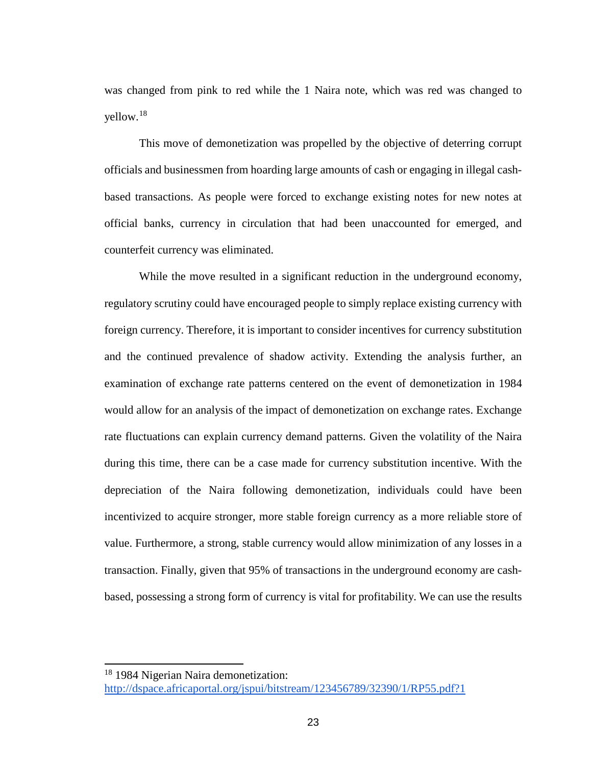was changed from pink to red while the 1 Naira note, which was red was changed to yellow. [18](#page-24-0)

This move of demonetization was propelled by the objective of deterring corrupt officials and businessmen from hoarding large amounts of cash or engaging in illegal cashbased transactions. As people were forced to exchange existing notes for new notes at official banks, currency in circulation that had been unaccounted for emerged, and counterfeit currency was eliminated.

While the move resulted in a significant reduction in the underground economy, regulatory scrutiny could have encouraged people to simply replace existing currency with foreign currency. Therefore, it is important to consider incentives for currency substitution and the continued prevalence of shadow activity. Extending the analysis further, an examination of exchange rate patterns centered on the event of demonetization in 1984 would allow for an analysis of the impact of demonetization on exchange rates. Exchange rate fluctuations can explain currency demand patterns. Given the volatility of the Naira during this time, there can be a case made for currency substitution incentive. With the depreciation of the Naira following demonetization, individuals could have been incentivized to acquire stronger, more stable foreign currency as a more reliable store of value. Furthermore, a strong, stable currency would allow minimization of any losses in a transaction. Finally, given that 95% of transactions in the underground economy are cashbased, possessing a strong form of currency is vital for profitability. We can use the results

<span id="page-24-0"></span><sup>&</sup>lt;sup>18</sup> 1984 Nigerian Naira demonetization: <http://dspace.africaportal.org/jspui/bitstream/123456789/32390/1/RP55.pdf?1>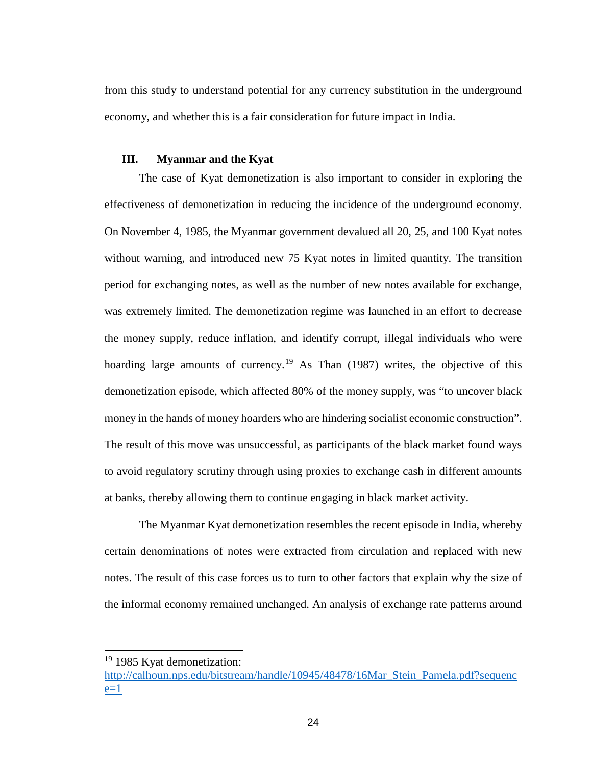from this study to understand potential for any currency substitution in the underground economy, and whether this is a fair consideration for future impact in India.

#### <span id="page-25-0"></span>**III. Myanmar and the Kyat**

The case of Kyat demonetization is also important to consider in exploring the effectiveness of demonetization in reducing the incidence of the underground economy. On November 4, 1985, the Myanmar government devalued all 20, 25, and 100 Kyat notes without warning, and introduced new 75 Kyat notes in limited quantity. The transition period for exchanging notes, as well as the number of new notes available for exchange, was extremely limited. The demonetization regime was launched in an effort to decrease the money supply, reduce inflation, and identify corrupt, illegal individuals who were hoarding large amounts of currency.<sup>[19](#page-25-1)</sup> As Than (1987) writes, the objective of this demonetization episode, which affected 80% of the money supply, was "to uncover black money in the hands of money hoarders who are hindering socialist economic construction". The result of this move was unsuccessful, as participants of the black market found ways to avoid regulatory scrutiny through using proxies to exchange cash in different amounts at banks, thereby allowing them to continue engaging in black market activity.

The Myanmar Kyat demonetization resembles the recent episode in India, whereby certain denominations of notes were extracted from circulation and replaced with new notes. The result of this case forces us to turn to other factors that explain why the size of the informal economy remained unchanged. An analysis of exchange rate patterns around

<span id="page-25-1"></span><sup>&</sup>lt;sup>19</sup> 1985 Kyat demonetization:

[http://calhoun.nps.edu/bitstream/handle/10945/48478/16Mar\\_Stein\\_Pamela.pdf?sequenc](http://calhoun.nps.edu/bitstream/handle/10945/48478/16Mar_Stein_Pamela.pdf?sequence=1)  $e=1$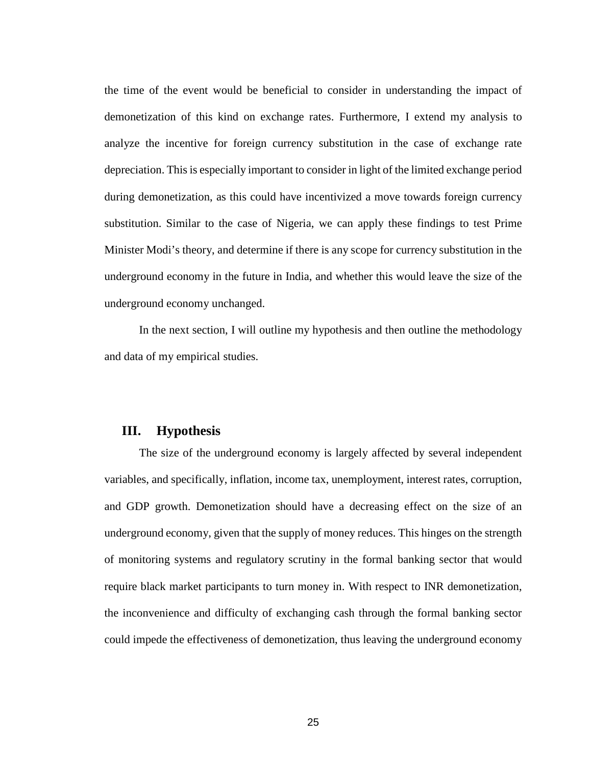the time of the event would be beneficial to consider in understanding the impact of demonetization of this kind on exchange rates. Furthermore, I extend my analysis to analyze the incentive for foreign currency substitution in the case of exchange rate depreciation. This is especially important to consider in light of the limited exchange period during demonetization, as this could have incentivized a move towards foreign currency substitution. Similar to the case of Nigeria, we can apply these findings to test Prime Minister Modi's theory, and determine if there is any scope for currency substitution in the underground economy in the future in India, and whether this would leave the size of the underground economy unchanged.

In the next section, I will outline my hypothesis and then outline the methodology and data of my empirical studies.

# <span id="page-26-0"></span>**III. Hypothesis**

The size of the underground economy is largely affected by several independent variables, and specifically, inflation, income tax, unemployment, interest rates, corruption, and GDP growth. Demonetization should have a decreasing effect on the size of an underground economy, given that the supply of money reduces. This hinges on the strength of monitoring systems and regulatory scrutiny in the formal banking sector that would require black market participants to turn money in. With respect to INR demonetization, the inconvenience and difficulty of exchanging cash through the formal banking sector could impede the effectiveness of demonetization, thus leaving the underground economy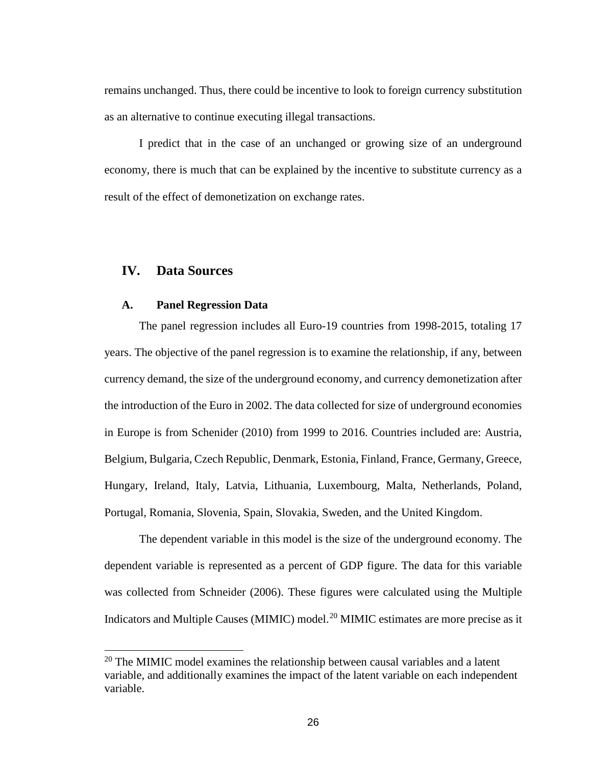remains unchanged. Thus, there could be incentive to look to foreign currency substitution as an alternative to continue executing illegal transactions.

I predict that in the case of an unchanged or growing size of an underground economy, there is much that can be explained by the incentive to substitute currency as a result of the effect of demonetization on exchange rates.

## <span id="page-27-0"></span>**IV. Data Sources**

#### <span id="page-27-1"></span>**A. Panel Regression Data**

The panel regression includes all Euro-19 countries from 1998-2015, totaling 17 years. The objective of the panel regression is to examine the relationship, if any, between currency demand, the size of the underground economy, and currency demonetization after the introduction of the Euro in 2002. The data collected for size of underground economies in Europe is from Schenider (2010) from 1999 to 2016. Countries included are: Austria, Belgium, Bulgaria, Czech Republic, Denmark, Estonia, Finland, France, Germany, Greece, Hungary, Ireland, Italy, Latvia, Lithuania, Luxembourg, Malta, Netherlands, Poland, Portugal, Romania, Slovenia, Spain, Slovakia, Sweden, and the United Kingdom.

The dependent variable in this model is the size of the underground economy. The dependent variable is represented as a percent of GDP figure. The data for this variable was collected from Schneider (2006). These figures were calculated using the Multiple Indicators and Multiple Causes (MIMIC) model.<sup>[20](#page-27-2)</sup> MIMIC estimates are more precise as it

<span id="page-27-2"></span> $20$  The MIMIC model examines the relationship between causal variables and a latent variable, and additionally examines the impact of the latent variable on each independent variable.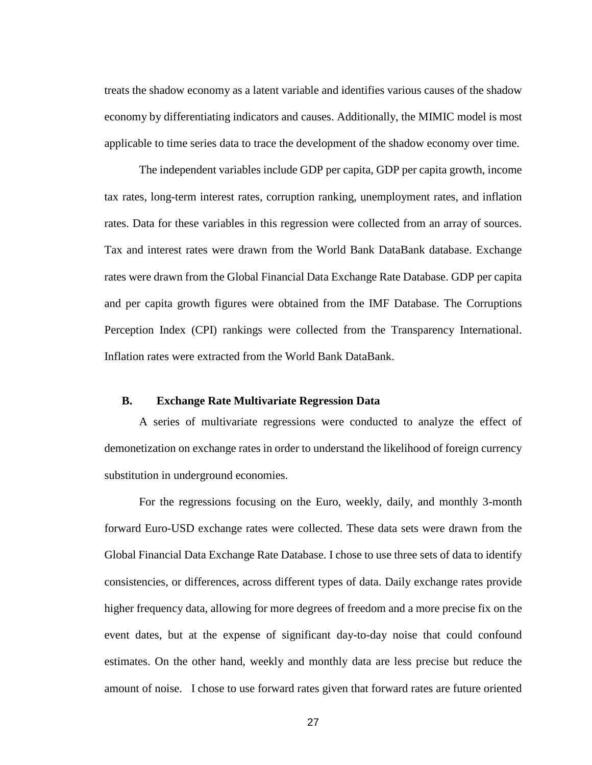treats the shadow economy as a latent variable and identifies various causes of the shadow economy by differentiating indicators and causes. Additionally, the MIMIC model is most applicable to time series data to trace the development of the shadow economy over time.

The independent variables include GDP per capita, GDP per capita growth, income tax rates, long-term interest rates, corruption ranking, unemployment rates, and inflation rates. Data for these variables in this regression were collected from an array of sources. Tax and interest rates were drawn from the World Bank DataBank database. Exchange rates were drawn from the Global Financial Data Exchange Rate Database. GDP per capita and per capita growth figures were obtained from the IMF Database. The Corruptions Perception Index (CPI) rankings were collected from the Transparency International. Inflation rates were extracted from the World Bank DataBank.

#### <span id="page-28-0"></span>**B. Exchange Rate Multivariate Regression Data**

A series of multivariate regressions were conducted to analyze the effect of demonetization on exchange rates in order to understand the likelihood of foreign currency substitution in underground economies.

For the regressions focusing on the Euro, weekly, daily, and monthly 3-month forward Euro-USD exchange rates were collected. These data sets were drawn from the Global Financial Data Exchange Rate Database. I chose to use three sets of data to identify consistencies, or differences, across different types of data. Daily exchange rates provide higher frequency data, allowing for more degrees of freedom and a more precise fix on the event dates, but at the expense of significant day-to-day noise that could confound estimates. On the other hand, weekly and monthly data are less precise but reduce the amount of noise. I chose to use forward rates given that forward rates are future oriented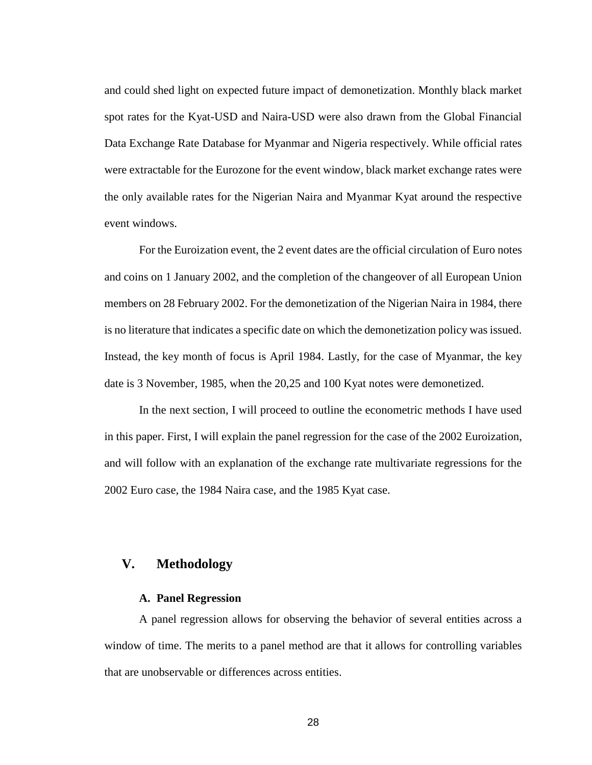and could shed light on expected future impact of demonetization. Monthly black market spot rates for the Kyat-USD and Naira-USD were also drawn from the Global Financial Data Exchange Rate Database for Myanmar and Nigeria respectively. While official rates were extractable for the Eurozone for the event window, black market exchange rates were the only available rates for the Nigerian Naira and Myanmar Kyat around the respective event windows.

For the Euroization event, the 2 event dates are the official circulation of Euro notes and coins on 1 January 2002, and the completion of the changeover of all European Union members on 28 February 2002. For the demonetization of the Nigerian Naira in 1984, there is no literature that indicates a specific date on which the demonetization policy was issued. Instead, the key month of focus is April 1984. Lastly, for the case of Myanmar, the key date is 3 November, 1985, when the 20,25 and 100 Kyat notes were demonetized.

In the next section, I will proceed to outline the econometric methods I have used in this paper. First, I will explain the panel regression for the case of the 2002 Euroization, and will follow with an explanation of the exchange rate multivariate regressions for the 2002 Euro case, the 1984 Naira case, and the 1985 Kyat case.

## <span id="page-29-1"></span><span id="page-29-0"></span>**V. Methodology**

#### **A. Panel Regression**

A panel regression allows for observing the behavior of several entities across a window of time. The merits to a panel method are that it allows for controlling variables that are unobservable or differences across entities.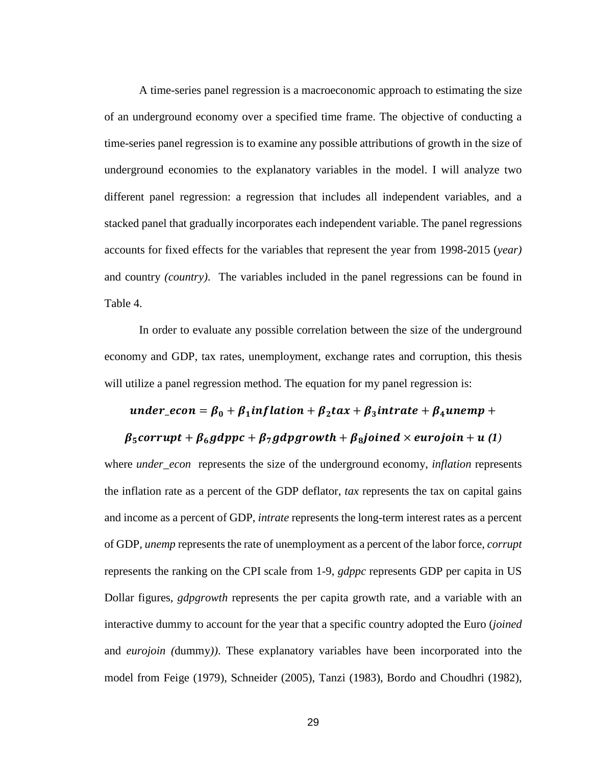A time-series panel regression is a macroeconomic approach to estimating the size of an underground economy over a specified time frame. The objective of conducting a time-series panel regression is to examine any possible attributions of growth in the size of underground economies to the explanatory variables in the model. I will analyze two different panel regression: a regression that includes all independent variables, and a stacked panel that gradually incorporates each independent variable. The panel regressions accounts for fixed effects for the variables that represent the year from 1998-2015 (*year)*  and country *(country)*. The variables included in the panel regressions can be found in Table 4.

In order to evaluate any possible correlation between the size of the underground economy and GDP, tax rates, unemployment, exchange rates and corruption, this thesis will utilize a panel regression method. The equation for my panel regression is:

### under\_econ =  $\beta_0 + \beta_1$ inflation +  $\beta_2$ tax +  $\beta_3$ intrate +  $\beta_4$ unemp +

#### $\beta_5$ corrupt +  $\beta_6$ gdppc +  $\beta_7$ gdpgrowth +  $\beta_8$ joined × eurojoin + u(1)

where *under\_econ* represents the size of the underground economy, *inflation* represents the inflation rate as a percent of the GDP deflator, *tax* represents the tax on capital gains and income as a percent of GDP, *intrate* represents the long-term interest rates as a percent of GDP, *unemp* represents the rate of unemployment as a percent of the labor force, *corrupt*  represents the ranking on the CPI scale from 1-9, *gdppc* represents GDP per capita in US Dollar figures, *gdpgrowth* represents the per capita growth rate, and a variable with an interactive dummy to account for the year that a specific country adopted the Euro (*joined*  and *eurojoin (*dummy*))*. These explanatory variables have been incorporated into the model from Feige (1979), Schneider (2005), Tanzi (1983), Bordo and Choudhri (1982),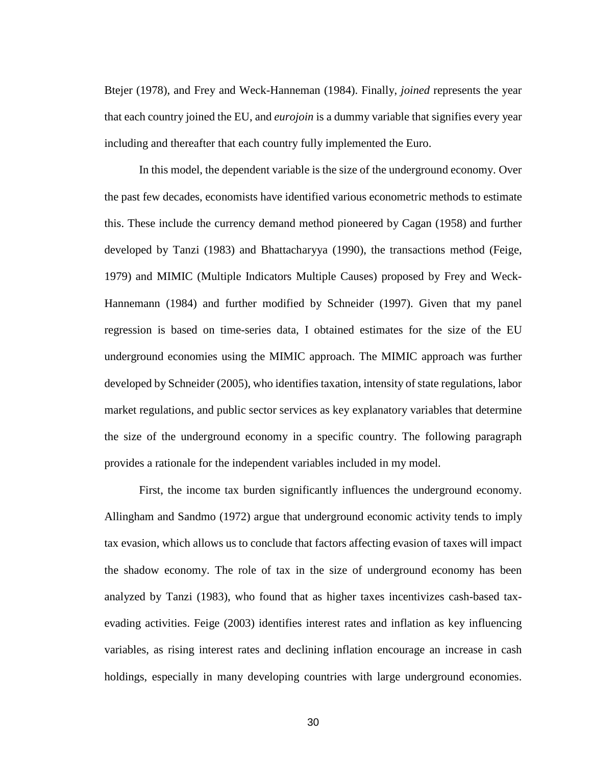Btejer (1978), and Frey and Weck-Hanneman (1984). Finally, *joined* represents the year that each country joined the EU, and *eurojoin* is a dummy variable that signifies every year including and thereafter that each country fully implemented the Euro.

In this model, the dependent variable is the size of the underground economy. Over the past few decades, economists have identified various econometric methods to estimate this. These include the currency demand method pioneered by Cagan (1958) and further developed by Tanzi (1983) and Bhattacharyya (1990), the transactions method (Feige, 1979) and MIMIC (Multiple Indicators Multiple Causes) proposed by Frey and Weck-Hannemann (1984) and further modified by Schneider (1997). Given that my panel regression is based on time-series data, I obtained estimates for the size of the EU underground economies using the MIMIC approach. The MIMIC approach was further developed by Schneider (2005), who identifies taxation, intensity of state regulations, labor market regulations, and public sector services as key explanatory variables that determine the size of the underground economy in a specific country. The following paragraph provides a rationale for the independent variables included in my model.

First, the income tax burden significantly influences the underground economy. Allingham and Sandmo (1972) argue that underground economic activity tends to imply tax evasion, which allows us to conclude that factors affecting evasion of taxes will impact the shadow economy. The role of tax in the size of underground economy has been analyzed by Tanzi (1983), who found that as higher taxes incentivizes cash-based taxevading activities. Feige (2003) identifies interest rates and inflation as key influencing variables, as rising interest rates and declining inflation encourage an increase in cash holdings, especially in many developing countries with large underground economies.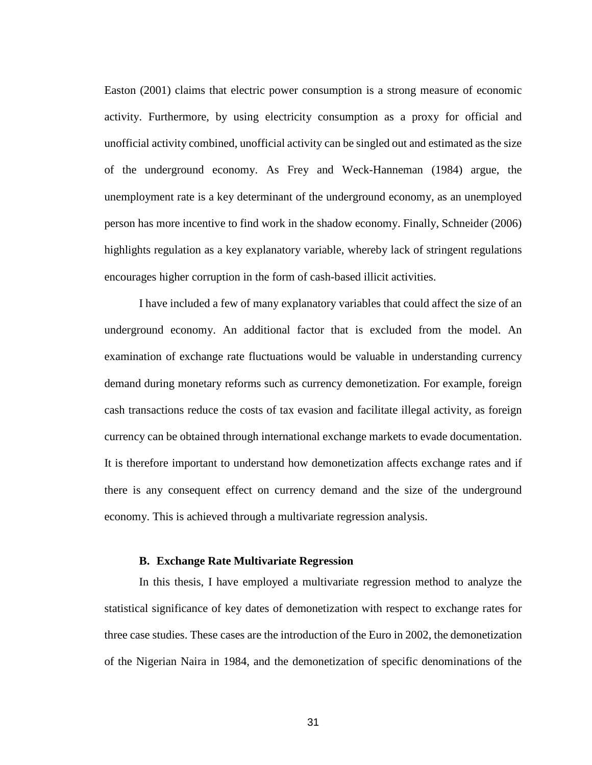Easton (2001) claims that electric power consumption is a strong measure of economic activity. Furthermore, by using electricity consumption as a proxy for official and unofficial activity combined, unofficial activity can be singled out and estimated as the size of the underground economy. As Frey and Weck-Hanneman (1984) argue, the unemployment rate is a key determinant of the underground economy, as an unemployed person has more incentive to find work in the shadow economy. Finally, Schneider (2006) highlights regulation as a key explanatory variable, whereby lack of stringent regulations encourages higher corruption in the form of cash-based illicit activities.

I have included a few of many explanatory variables that could affect the size of an underground economy. An additional factor that is excluded from the model. An examination of exchange rate fluctuations would be valuable in understanding currency demand during monetary reforms such as currency demonetization. For example, foreign cash transactions reduce the costs of tax evasion and facilitate illegal activity, as foreign currency can be obtained through international exchange markets to evade documentation. It is therefore important to understand how demonetization affects exchange rates and if there is any consequent effect on currency demand and the size of the underground economy. This is achieved through a multivariate regression analysis.

#### **B. Exchange Rate Multivariate Regression**

<span id="page-32-0"></span>In this thesis, I have employed a multivariate regression method to analyze the statistical significance of key dates of demonetization with respect to exchange rates for three case studies. These cases are the introduction of the Euro in 2002, the demonetization of the Nigerian Naira in 1984, and the demonetization of specific denominations of the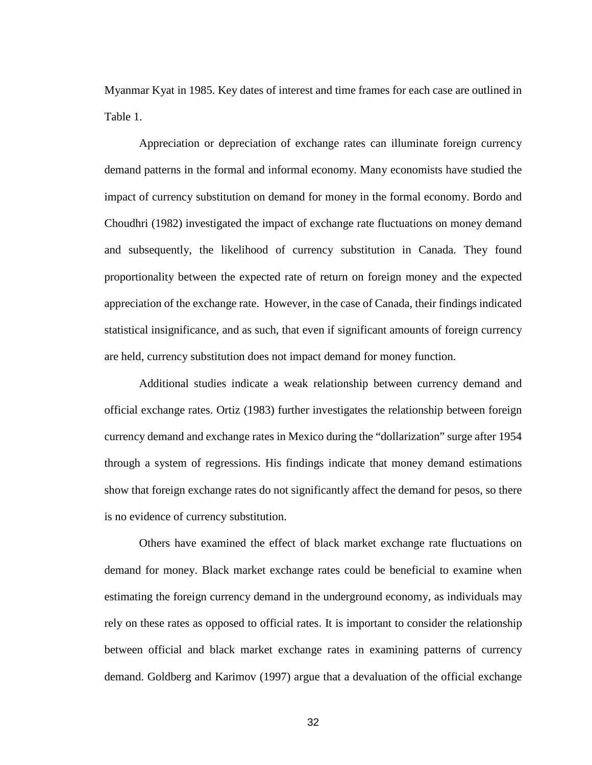Myanmar Kyat in 1985. Key dates of interest and time frames for each case are outlined in Table 1.

Appreciation or depreciation of exchange rates can illuminate foreign currency demand patterns in the formal and informal economy. Many economists have studied the impact of currency substitution on demand for money in the formal economy. Bordo and Choudhri (1982) investigated the impact of exchange rate fluctuations on money demand and subsequently, the likelihood of currency substitution in Canada. They found proportionality between the expected rate of return on foreign money and the expected appreciation of the exchange rate. However, in the case of Canada, their findings indicated statistical insignificance, and as such, that even if significant amounts of foreign currency are held, currency substitution does not impact demand for money function.

Additional studies indicate a weak relationship between currency demand and official exchange rates. Ortiz (1983) further investigates the relationship between foreign currency demand and exchange rates in Mexico during the "dollarization" surge after 1954 through a system of regressions. His findings indicate that money demand estimations show that foreign exchange rates do not significantly affect the demand for pesos, so there is no evidence of currency substitution.

Others have examined the effect of black market exchange rate fluctuations on demand for money. Black market exchange rates could be beneficial to examine when estimating the foreign currency demand in the underground economy, as individuals may rely on these rates as opposed to official rates. It is important to consider the relationship between official and black market exchange rates in examining patterns of currency demand. Goldberg and Karimov (1997) argue that a devaluation of the official exchange

32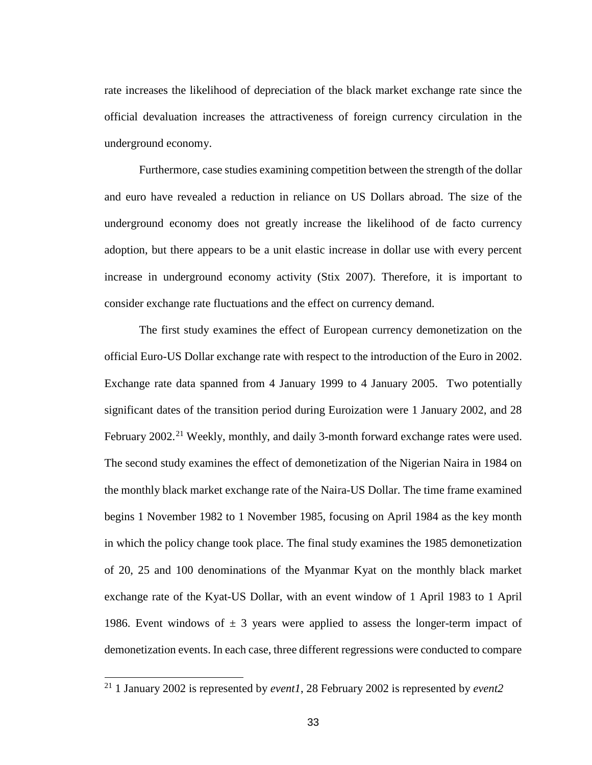rate increases the likelihood of depreciation of the black market exchange rate since the official devaluation increases the attractiveness of foreign currency circulation in the underground economy.

Furthermore, case studies examining competition between the strength of the dollar and euro have revealed a reduction in reliance on US Dollars abroad. The size of the underground economy does not greatly increase the likelihood of de facto currency adoption, but there appears to be a unit elastic increase in dollar use with every percent increase in underground economy activity (Stix 2007). Therefore, it is important to consider exchange rate fluctuations and the effect on currency demand.

The first study examines the effect of European currency demonetization on the official Euro-US Dollar exchange rate with respect to the introduction of the Euro in 2002. Exchange rate data spanned from 4 January 1999 to 4 January 2005. Two potentially significant dates of the transition period during Euroization were 1 January 2002, and 28 February 2002.<sup>[21](#page-34-0)</sup> Weekly, monthly, and daily 3-month forward exchange rates were used. The second study examines the effect of demonetization of the Nigerian Naira in 1984 on the monthly black market exchange rate of the Naira-US Dollar. The time frame examined begins 1 November 1982 to 1 November 1985, focusing on April 1984 as the key month in which the policy change took place. The final study examines the 1985 demonetization of 20, 25 and 100 denominations of the Myanmar Kyat on the monthly black market exchange rate of the Kyat-US Dollar, with an event window of 1 April 1983 to 1 April 1986. Event windows of  $\pm$  3 years were applied to assess the longer-term impact of demonetization events. In each case, three different regressions were conducted to compare

<span id="page-34-0"></span><sup>21</sup> 1 January 2002 is represented by *event1*, 28 February 2002 is represented by *event2*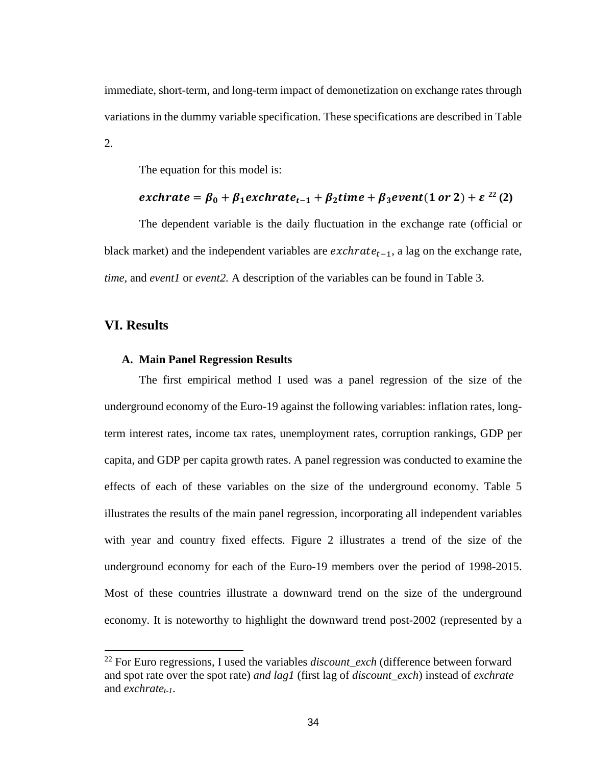immediate, short-term, and long-term impact of demonetization on exchange rates through variations in the dummy variable specification. These specifications are described in Table 2.

The equation for this model is:

# $\epsilon$ *xchrate* =  $\beta_0 + \beta_1$ *exchrate*<sub>t-1</sub> +  $\beta_2$ *time* +  $\beta_3$ *event*(1 *or* 2) +  $\epsilon^{22}$  $\epsilon^{22}$  $\epsilon^{22}$ (2)

The dependent variable is the daily fluctuation in the exchange rate (official or black market) and the independent variables are  $\mathit{exchrate}_{t-1}$ , a lag on the exchange rate, *time,* and *event1* or *event2.* A description of the variables can be found in Table 3.

## <span id="page-35-1"></span><span id="page-35-0"></span>**VI. Results**

#### **A. Main Panel Regression Results**

The first empirical method I used was a panel regression of the size of the underground economy of the Euro-19 against the following variables: inflation rates, longterm interest rates, income tax rates, unemployment rates, corruption rankings, GDP per capita, and GDP per capita growth rates. A panel regression was conducted to examine the effects of each of these variables on the size of the underground economy. Table 5 illustrates the results of the main panel regression, incorporating all independent variables with year and country fixed effects. Figure 2 illustrates a trend of the size of the underground economy for each of the Euro-19 members over the period of 1998-2015. Most of these countries illustrate a downward trend on the size of the underground economy. It is noteworthy to highlight the downward trend post-2002 (represented by a

<span id="page-35-2"></span><sup>&</sup>lt;sup>22</sup> For Euro regressions, I used the variables *discount exch* (difference between forward and spot rate over the spot rate) *and lag1* (first lag of *discount\_exch*) instead of *exchrate*  and *exchrate*<sub>t-1</sub>.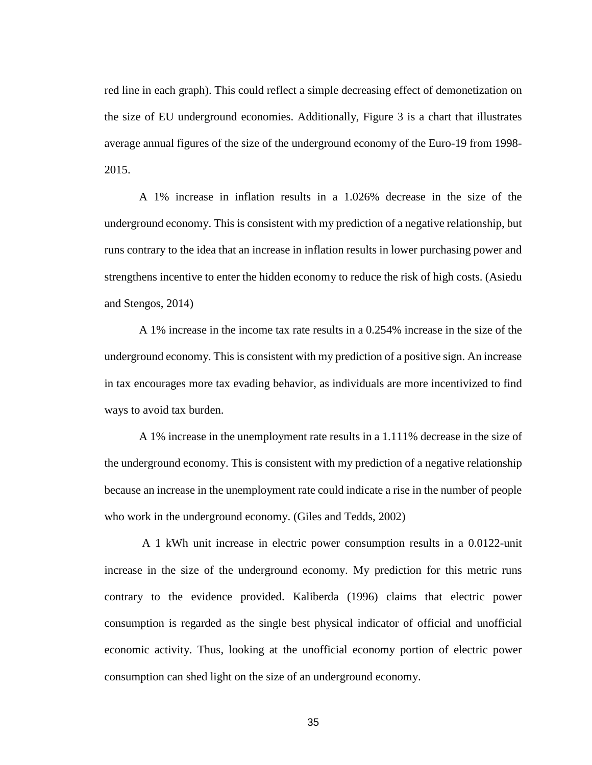red line in each graph). This could reflect a simple decreasing effect of demonetization on the size of EU underground economies. Additionally, Figure 3 is a chart that illustrates average annual figures of the size of the underground economy of the Euro-19 from 1998- 2015.

A 1% increase in inflation results in a 1.026% decrease in the size of the underground economy. This is consistent with my prediction of a negative relationship, but runs contrary to the idea that an increase in inflation results in lower purchasing power and strengthens incentive to enter the hidden economy to reduce the risk of high costs. (Asiedu and Stengos, 2014)

A 1% increase in the income tax rate results in a 0.254% increase in the size of the underground economy. This is consistent with my prediction of a positive sign. An increase in tax encourages more tax evading behavior, as individuals are more incentivized to find ways to avoid tax burden.

A 1% increase in the unemployment rate results in a 1.111% decrease in the size of the underground economy. This is consistent with my prediction of a negative relationship because an increase in the unemployment rate could indicate a rise in the number of people who work in the underground economy. (Giles and Tedds, 2002)

A 1 kWh unit increase in electric power consumption results in a 0.0122-unit increase in the size of the underground economy. My prediction for this metric runs contrary to the evidence provided. Kaliberda (1996) claims that electric power consumption is regarded as the single best physical indicator of official and unofficial economic activity. Thus, looking at the unofficial economy portion of electric power consumption can shed light on the size of an underground economy.

35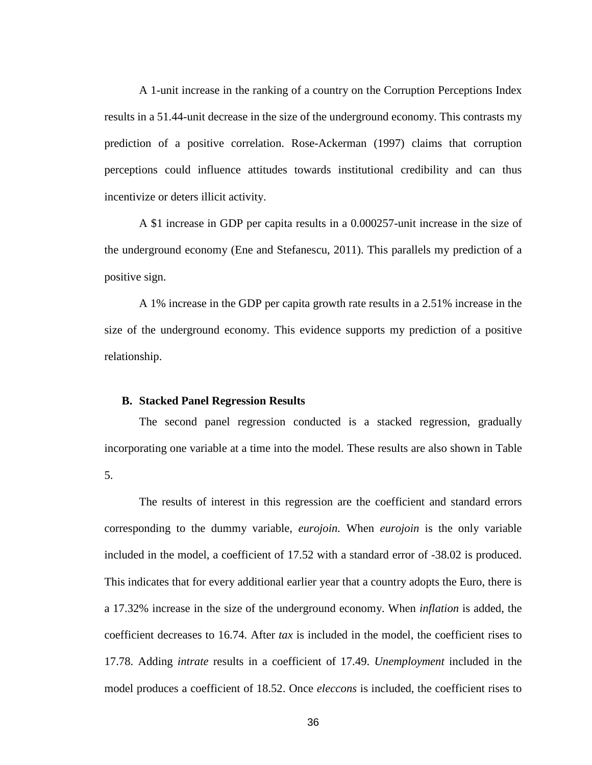A 1-unit increase in the ranking of a country on the Corruption Perceptions Index results in a 51.44-unit decrease in the size of the underground economy. This contrasts my prediction of a positive correlation. Rose-Ackerman (1997) claims that corruption perceptions could influence attitudes towards institutional credibility and can thus incentivize or deters illicit activity.

A \$1 increase in GDP per capita results in a 0.000257-unit increase in the size of the underground economy (Ene and Stefanescu, 2011). This parallels my prediction of a positive sign.

A 1% increase in the GDP per capita growth rate results in a 2.51% increase in the size of the underground economy. This evidence supports my prediction of a positive relationship.

#### <span id="page-37-0"></span>**B. Stacked Panel Regression Results**

The second panel regression conducted is a stacked regression, gradually incorporating one variable at a time into the model. These results are also shown in Table 5.

The results of interest in this regression are the coefficient and standard errors corresponding to the dummy variable, *eurojoin.* When *eurojoin* is the only variable included in the model, a coefficient of 17.52 with a standard error of -38.02 is produced. This indicates that for every additional earlier year that a country adopts the Euro, there is a 17.32% increase in the size of the underground economy. When *inflation* is added, the coefficient decreases to 16.74. After *tax* is included in the model, the coefficient rises to 17.78. Adding *intrate* results in a coefficient of 17.49. *Unemployment* included in the model produces a coefficient of 18.52. Once *eleccons* is included, the coefficient rises to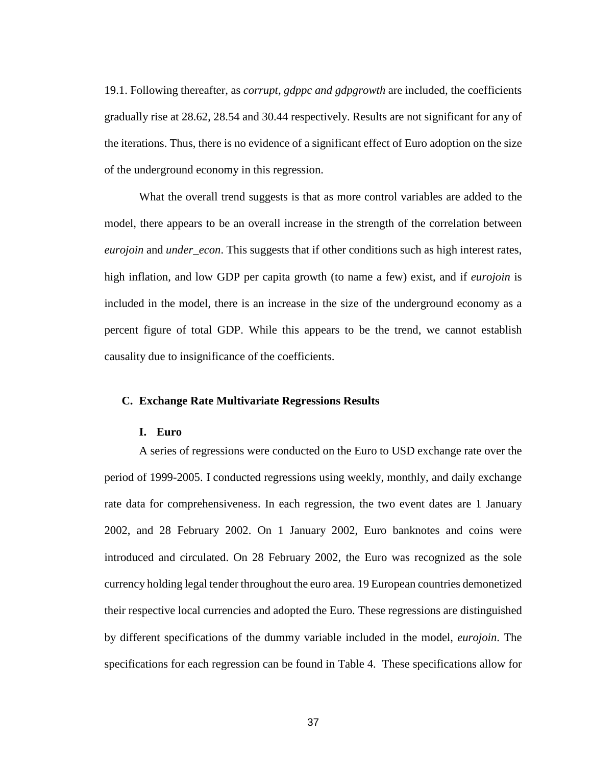19.1. Following thereafter, as *corrupt, gdppc and gdpgrowth* are included, the coefficients gradually rise at 28.62, 28.54 and 30.44 respectively. Results are not significant for any of the iterations. Thus, there is no evidence of a significant effect of Euro adoption on the size of the underground economy in this regression.

What the overall trend suggests is that as more control variables are added to the model, there appears to be an overall increase in the strength of the correlation between *eurojoin* and *under\_econ*. This suggests that if other conditions such as high interest rates, high inflation, and low GDP per capita growth (to name a few) exist, and if *eurojoin* is included in the model, there is an increase in the size of the underground economy as a percent figure of total GDP. While this appears to be the trend, we cannot establish causality due to insignificance of the coefficients.

#### <span id="page-38-1"></span><span id="page-38-0"></span>**C. Exchange Rate Multivariate Regressions Results**

#### **I. Euro**

A series of regressions were conducted on the Euro to USD exchange rate over the period of 1999-2005. I conducted regressions using weekly, monthly, and daily exchange rate data for comprehensiveness. In each regression, the two event dates are 1 January 2002, and 28 February 2002. On 1 January 2002, Euro banknotes and coins were introduced and circulated. On 28 February 2002, the Euro was recognized as the sole currency holding legal tender throughout the euro area. 19 European countries demonetized their respective local currencies and adopted the Euro. These regressions are distinguished by different specifications of the dummy variable included in the model, *eurojoin*. The specifications for each regression can be found in Table 4. These specifications allow for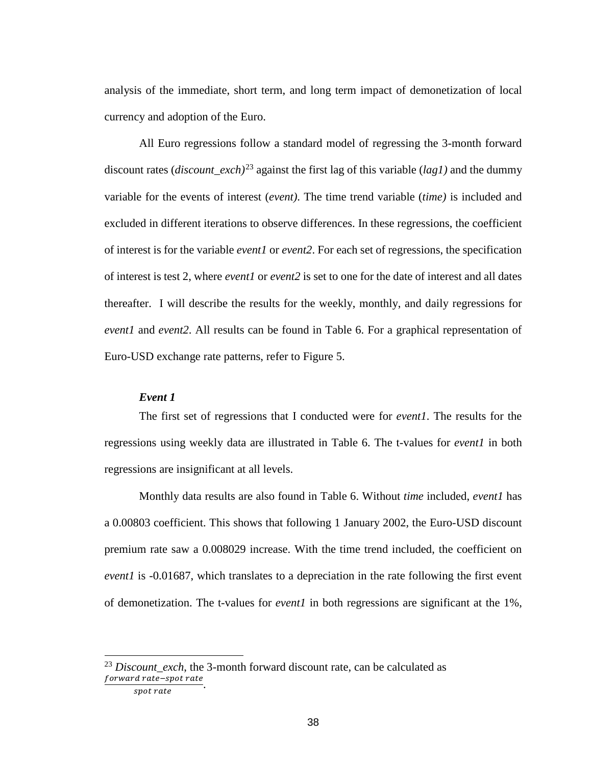analysis of the immediate, short term, and long term impact of demonetization of local currency and adoption of the Euro.

All Euro regressions follow a standard model of regressing the 3-month forward discount rates (*discount\_exch)*[23](#page-39-0) against the first lag of this variable (*lag1)* and the dummy variable for the events of interest (*event)*. The time trend variable (*time)* is included and excluded in different iterations to observe differences. In these regressions, the coefficient of interest is for the variable *event1* or *event2*. For each set of regressions, the specification of interest is test 2, where *event1* or *event2* is set to one for the date of interest and all dates thereafter. I will describe the results for the weekly, monthly, and daily regressions for *event1* and *event2*. All results can be found in Table 6. For a graphical representation of Euro-USD exchange rate patterns, refer to Figure 5.

#### *Event 1*

The first set of regressions that I conducted were for *event1*. The results for the regressions using weekly data are illustrated in Table 6. The t-values for *event1* in both regressions are insignificant at all levels.

Monthly data results are also found in Table 6. Without *time* included, *event1* has a 0.00803 coefficient. This shows that following 1 January 2002, the Euro-USD discount premium rate saw a 0.008029 increase. With the time trend included, the coefficient on *event1* is -0.01687, which translates to a depreciation in the rate following the first event of demonetization. The t-values for *event1* in both regressions are significant at the 1%,

<span id="page-39-0"></span><sup>&</sup>lt;sup>23</sup> Discount exch, the 3-month forward discount rate, can be calculated as forward rate-spot rate

spot rate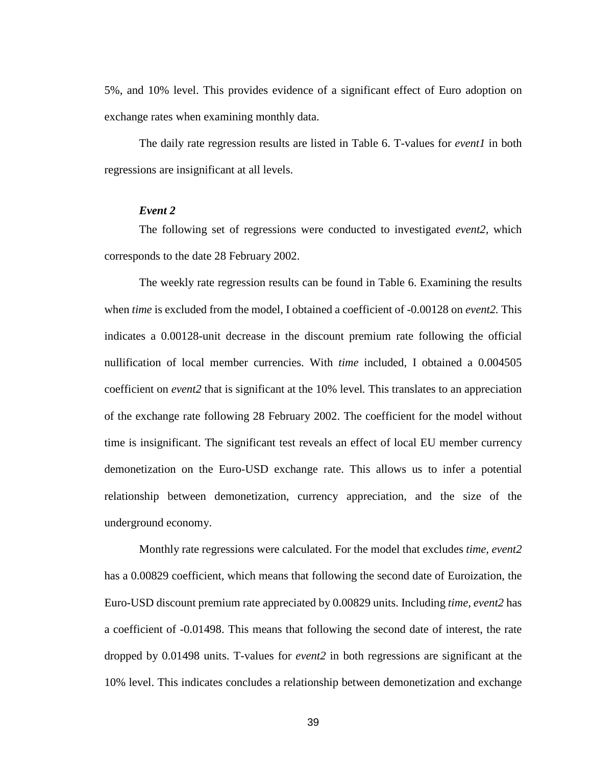5%, and 10% level. This provides evidence of a significant effect of Euro adoption on exchange rates when examining monthly data.

The daily rate regression results are listed in Table 6. T-values for *event1* in both regressions are insignificant at all levels.

#### *Event 2*

The following set of regressions were conducted to investigated *event2,* which corresponds to the date 28 February 2002.

The weekly rate regression results can be found in Table 6. Examining the results when *time* is excluded from the model, I obtained a coefficient of -0.00128 on *event2.* This indicates a 0.00128-unit decrease in the discount premium rate following the official nullification of local member currencies. With *time* included, I obtained a 0.004505 coefficient on *event2* that is significant at the 10% level*.* This translates to an appreciation of the exchange rate following 28 February 2002. The coefficient for the model without time is insignificant. The significant test reveals an effect of local EU member currency demonetization on the Euro-USD exchange rate. This allows us to infer a potential relationship between demonetization, currency appreciation, and the size of the underground economy.

Monthly rate regressions were calculated. For the model that excludes *time, event2*  has a 0.00829 coefficient, which means that following the second date of Euroization, the Euro-USD discount premium rate appreciated by 0.00829 units. Including *time, event2* has a coefficient of -0.01498. This means that following the second date of interest, the rate dropped by 0.01498 units. T-values for *event2* in both regressions are significant at the 10% level. This indicates concludes a relationship between demonetization and exchange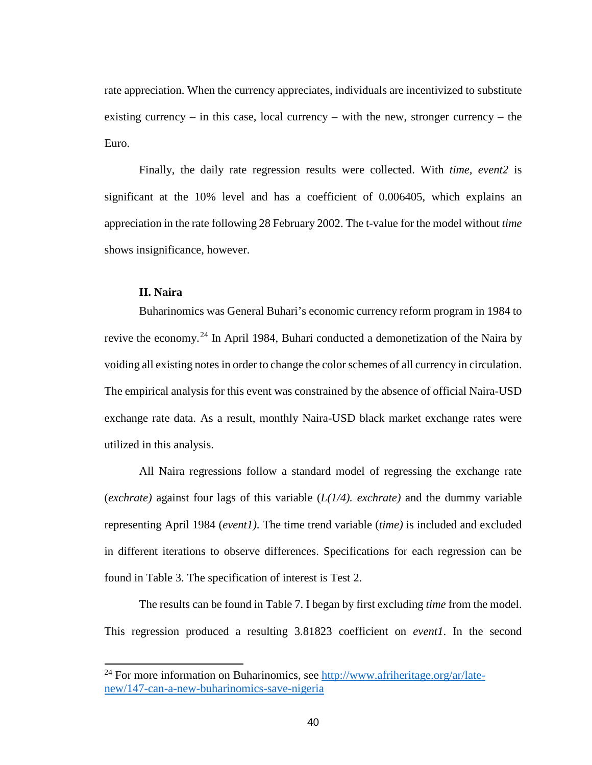rate appreciation. When the currency appreciates, individuals are incentivized to substitute existing currency – in this case, local currency – with the new, stronger currency – the Euro.

Finally, the daily rate regression results were collected. With *time, event2* is significant at the 10% level and has a coefficient of 0.006405, which explains an appreciation in the rate following 28 February 2002. The t-value for the model without *time*  shows insignificance, however.

## **II. Naira**

<span id="page-41-0"></span>Buharinomics was General Buhari's economic currency reform program in 1984 to revive the economy.<sup>[24](#page-41-1)</sup> In April 1984, Buhari conducted a demonetization of the Naira by voiding all existing notes in order to change the color schemes of all currency in circulation. The empirical analysis for this event was constrained by the absence of official Naira-USD exchange rate data. As a result, monthly Naira-USD black market exchange rates were utilized in this analysis.

All Naira regressions follow a standard model of regressing the exchange rate (*exchrate)* against four lags of this variable (*L(1/4). exchrate)* and the dummy variable representing April 1984 (*event1)*. The time trend variable (*time)* is included and excluded in different iterations to observe differences. Specifications for each regression can be found in Table 3. The specification of interest is Test 2.

The results can be found in Table 7. I began by first excluding *time* from the model. This regression produced a resulting 3.81823 coefficient on *event1*. In the second

<span id="page-41-1"></span><sup>&</sup>lt;sup>24</sup> For more information on Buharinomics, see [http://www.afriheritage.org/ar/late](http://www.afriheritage.org/ar/late-new/147-can-a-new-buharinomics-save-nigeria)[new/147-can-a-new-buharinomics-save-nigeria](http://www.afriheritage.org/ar/late-new/147-can-a-new-buharinomics-save-nigeria)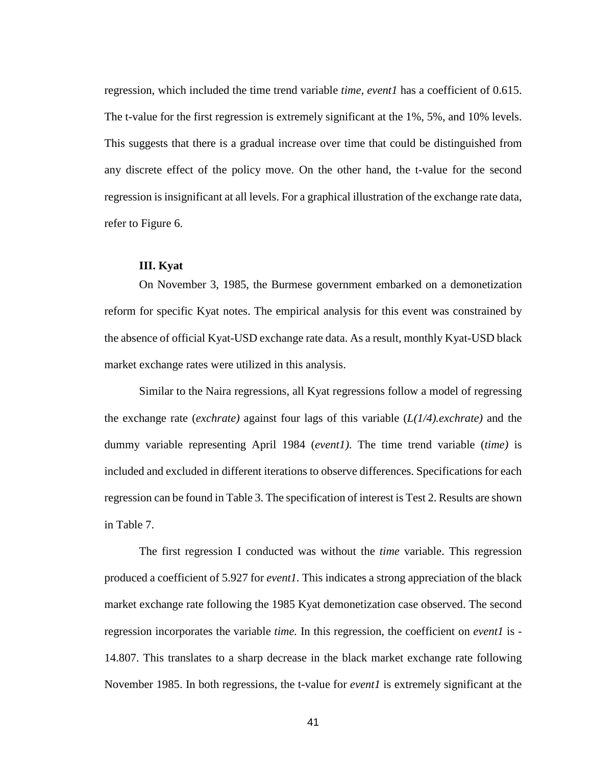regression, which included the time trend variable *time, event1* has a coefficient of 0.615. The t-value for the first regression is extremely significant at the 1%, 5%, and 10% levels. This suggests that there is a gradual increase over time that could be distinguished from any discrete effect of the policy move. On the other hand, the t-value for the second regression is insignificant at all levels. For a graphical illustration of the exchange rate data, refer to Figure 6.

#### **III. Kyat**

<span id="page-42-0"></span>On November 3, 1985, the Burmese government embarked on a demonetization reform for specific Kyat notes. The empirical analysis for this event was constrained by the absence of official Kyat-USD exchange rate data. As a result, monthly Kyat-USD black market exchange rates were utilized in this analysis.

Similar to the Naira regressions, all Kyat regressions follow a model of regressing the exchange rate (*exchrate)* against four lags of this variable (*L(1/4).exchrate)* and the dummy variable representing April 1984 (*event1)*. The time trend variable (*time)* is included and excluded in different iterations to observe differences. Specifications for each regression can be found in Table 3. The specification of interest is Test 2. Results are shown in Table 7.

The first regression I conducted was without the *time* variable. This regression produced a coefficient of 5.927 for *event1.* This indicates a strong appreciation of the black market exchange rate following the 1985 Kyat demonetization case observed. The second regression incorporates the variable *time.* In this regression, the coefficient on *event1* is - 14.807. This translates to a sharp decrease in the black market exchange rate following November 1985. In both regressions, the t-value for *event1* is extremely significant at the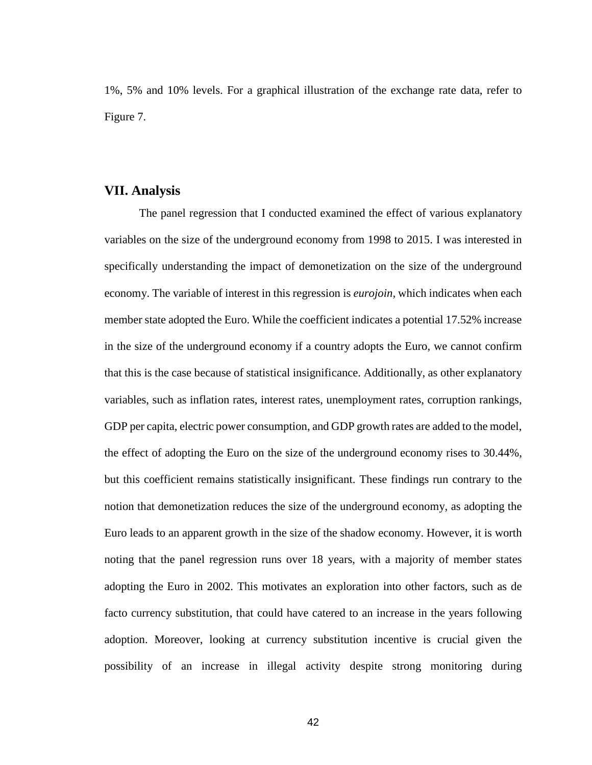1%, 5% and 10% levels. For a graphical illustration of the exchange rate data, refer to Figure 7.

### <span id="page-43-0"></span>**VII. Analysis**

The panel regression that I conducted examined the effect of various explanatory variables on the size of the underground economy from 1998 to 2015. I was interested in specifically understanding the impact of demonetization on the size of the underground economy. The variable of interest in this regression is *eurojoin,* which indicates when each member state adopted the Euro. While the coefficient indicates a potential 17.52% increase in the size of the underground economy if a country adopts the Euro, we cannot confirm that this is the case because of statistical insignificance. Additionally, as other explanatory variables, such as inflation rates, interest rates, unemployment rates, corruption rankings, GDP per capita, electric power consumption, and GDP growth rates are added to the model, the effect of adopting the Euro on the size of the underground economy rises to 30.44%, but this coefficient remains statistically insignificant. These findings run contrary to the notion that demonetization reduces the size of the underground economy, as adopting the Euro leads to an apparent growth in the size of the shadow economy. However, it is worth noting that the panel regression runs over 18 years, with a majority of member states adopting the Euro in 2002. This motivates an exploration into other factors, such as de facto currency substitution, that could have catered to an increase in the years following adoption. Moreover, looking at currency substitution incentive is crucial given the possibility of an increase in illegal activity despite strong monitoring during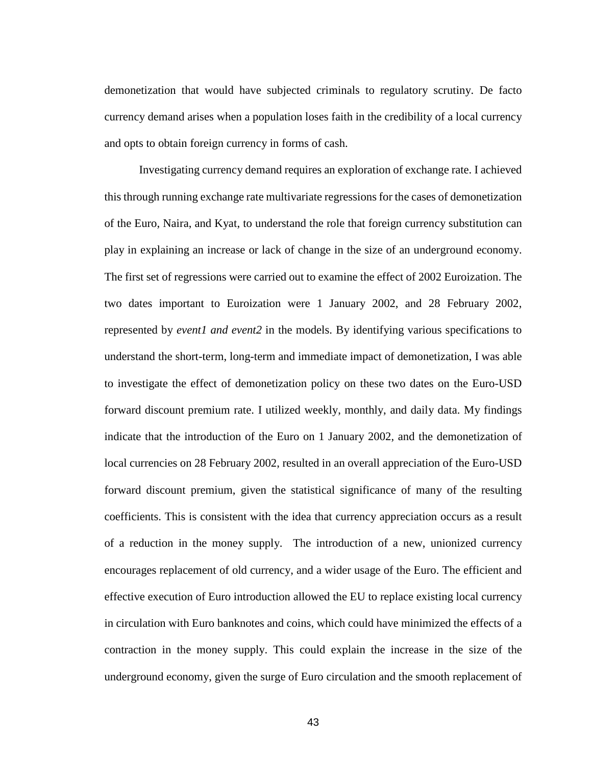demonetization that would have subjected criminals to regulatory scrutiny. De facto currency demand arises when a population loses faith in the credibility of a local currency and opts to obtain foreign currency in forms of cash.

Investigating currency demand requires an exploration of exchange rate. I achieved this through running exchange rate multivariate regressions for the cases of demonetization of the Euro, Naira, and Kyat, to understand the role that foreign currency substitution can play in explaining an increase or lack of change in the size of an underground economy. The first set of regressions were carried out to examine the effect of 2002 Euroization. The two dates important to Euroization were 1 January 2002, and 28 February 2002, represented by *event1 and event2* in the models. By identifying various specifications to understand the short-term, long-term and immediate impact of demonetization, I was able to investigate the effect of demonetization policy on these two dates on the Euro-USD forward discount premium rate. I utilized weekly, monthly, and daily data. My findings indicate that the introduction of the Euro on 1 January 2002, and the demonetization of local currencies on 28 February 2002, resulted in an overall appreciation of the Euro-USD forward discount premium, given the statistical significance of many of the resulting coefficients. This is consistent with the idea that currency appreciation occurs as a result of a reduction in the money supply. The introduction of a new, unionized currency encourages replacement of old currency, and a wider usage of the Euro. The efficient and effective execution of Euro introduction allowed the EU to replace existing local currency in circulation with Euro banknotes and coins, which could have minimized the effects of a contraction in the money supply. This could explain the increase in the size of the underground economy, given the surge of Euro circulation and the smooth replacement of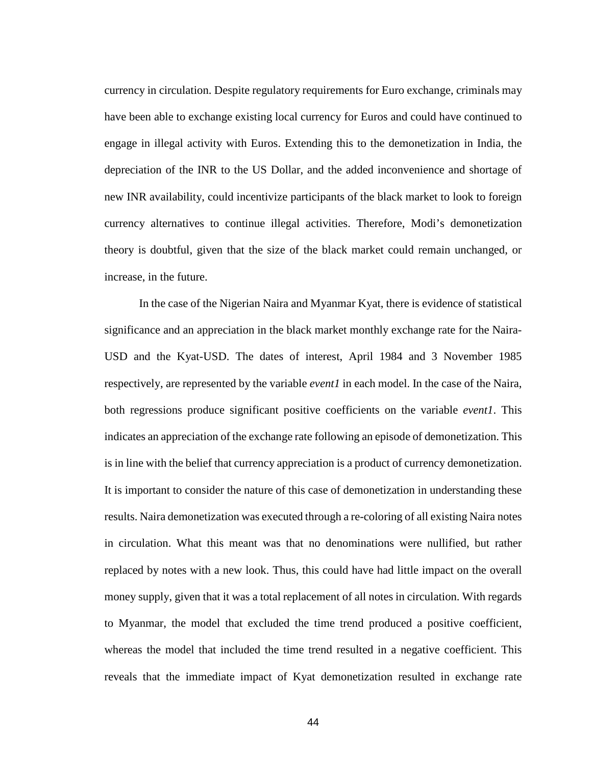currency in circulation. Despite regulatory requirements for Euro exchange, criminals may have been able to exchange existing local currency for Euros and could have continued to engage in illegal activity with Euros. Extending this to the demonetization in India, the depreciation of the INR to the US Dollar, and the added inconvenience and shortage of new INR availability, could incentivize participants of the black market to look to foreign currency alternatives to continue illegal activities. Therefore, Modi's demonetization theory is doubtful, given that the size of the black market could remain unchanged, or increase, in the future.

In the case of the Nigerian Naira and Myanmar Kyat, there is evidence of statistical significance and an appreciation in the black market monthly exchange rate for the Naira-USD and the Kyat-USD. The dates of interest, April 1984 and 3 November 1985 respectively, are represented by the variable *event1* in each model. In the case of the Naira, both regressions produce significant positive coefficients on the variable *event1*. This indicates an appreciation of the exchange rate following an episode of demonetization. This is in line with the belief that currency appreciation is a product of currency demonetization. It is important to consider the nature of this case of demonetization in understanding these results. Naira demonetization was executed through a re-coloring of all existing Naira notes in circulation. What this meant was that no denominations were nullified, but rather replaced by notes with a new look. Thus, this could have had little impact on the overall money supply, given that it was a total replacement of all notes in circulation. With regards to Myanmar, the model that excluded the time trend produced a positive coefficient, whereas the model that included the time trend resulted in a negative coefficient. This reveals that the immediate impact of Kyat demonetization resulted in exchange rate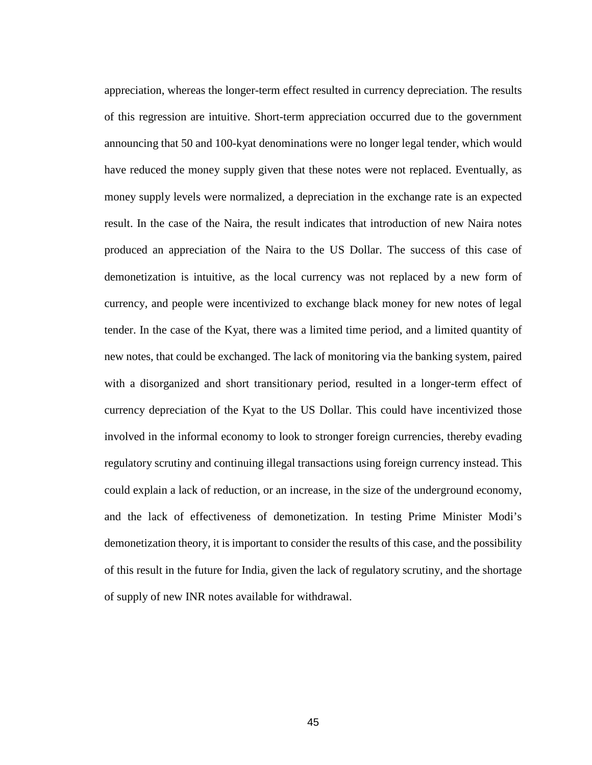appreciation, whereas the longer-term effect resulted in currency depreciation. The results of this regression are intuitive. Short-term appreciation occurred due to the government announcing that 50 and 100-kyat denominations were no longer legal tender, which would have reduced the money supply given that these notes were not replaced. Eventually, as money supply levels were normalized, a depreciation in the exchange rate is an expected result. In the case of the Naira, the result indicates that introduction of new Naira notes produced an appreciation of the Naira to the US Dollar. The success of this case of demonetization is intuitive, as the local currency was not replaced by a new form of currency, and people were incentivized to exchange black money for new notes of legal tender. In the case of the Kyat, there was a limited time period, and a limited quantity of new notes, that could be exchanged. The lack of monitoring via the banking system, paired with a disorganized and short transitionary period, resulted in a longer-term effect of currency depreciation of the Kyat to the US Dollar. This could have incentivized those involved in the informal economy to look to stronger foreign currencies, thereby evading regulatory scrutiny and continuing illegal transactions using foreign currency instead. This could explain a lack of reduction, or an increase, in the size of the underground economy, and the lack of effectiveness of demonetization. In testing Prime Minister Modi's demonetization theory, it is important to consider the results of this case, and the possibility of this result in the future for India, given the lack of regulatory scrutiny, and the shortage of supply of new INR notes available for withdrawal.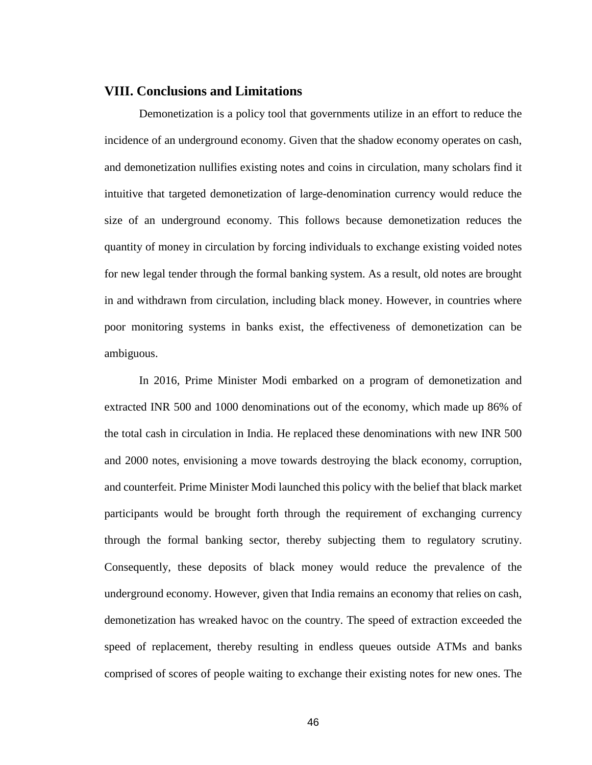## <span id="page-47-0"></span>**VIII. Conclusions and Limitations**

Demonetization is a policy tool that governments utilize in an effort to reduce the incidence of an underground economy. Given that the shadow economy operates on cash, and demonetization nullifies existing notes and coins in circulation, many scholars find it intuitive that targeted demonetization of large-denomination currency would reduce the size of an underground economy. This follows because demonetization reduces the quantity of money in circulation by forcing individuals to exchange existing voided notes for new legal tender through the formal banking system. As a result, old notes are brought in and withdrawn from circulation, including black money. However, in countries where poor monitoring systems in banks exist, the effectiveness of demonetization can be ambiguous.

In 2016, Prime Minister Modi embarked on a program of demonetization and extracted INR 500 and 1000 denominations out of the economy, which made up 86% of the total cash in circulation in India. He replaced these denominations with new INR 500 and 2000 notes, envisioning a move towards destroying the black economy, corruption, and counterfeit. Prime Minister Modi launched this policy with the belief that black market participants would be brought forth through the requirement of exchanging currency through the formal banking sector, thereby subjecting them to regulatory scrutiny. Consequently, these deposits of black money would reduce the prevalence of the underground economy. However, given that India remains an economy that relies on cash, demonetization has wreaked havoc on the country. The speed of extraction exceeded the speed of replacement, thereby resulting in endless queues outside ATMs and banks comprised of scores of people waiting to exchange their existing notes for new ones. The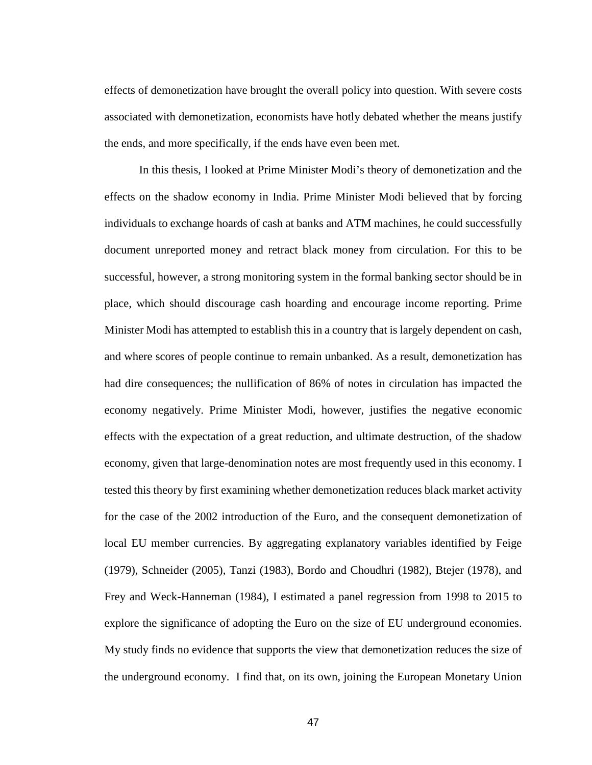effects of demonetization have brought the overall policy into question. With severe costs associated with demonetization, economists have hotly debated whether the means justify the ends, and more specifically, if the ends have even been met.

In this thesis, I looked at Prime Minister Modi's theory of demonetization and the effects on the shadow economy in India. Prime Minister Modi believed that by forcing individuals to exchange hoards of cash at banks and ATM machines, he could successfully document unreported money and retract black money from circulation. For this to be successful, however, a strong monitoring system in the formal banking sector should be in place, which should discourage cash hoarding and encourage income reporting. Prime Minister Modi has attempted to establish this in a country that is largely dependent on cash, and where scores of people continue to remain unbanked. As a result, demonetization has had dire consequences; the nullification of 86% of notes in circulation has impacted the economy negatively. Prime Minister Modi, however, justifies the negative economic effects with the expectation of a great reduction, and ultimate destruction, of the shadow economy, given that large-denomination notes are most frequently used in this economy. I tested this theory by first examining whether demonetization reduces black market activity for the case of the 2002 introduction of the Euro, and the consequent demonetization of local EU member currencies. By aggregating explanatory variables identified by Feige (1979), Schneider (2005), Tanzi (1983), Bordo and Choudhri (1982), Btejer (1978), and Frey and Weck-Hanneman (1984), I estimated a panel regression from 1998 to 2015 to explore the significance of adopting the Euro on the size of EU underground economies. My study finds no evidence that supports the view that demonetization reduces the size of the underground economy. I find that, on its own, joining the European Monetary Union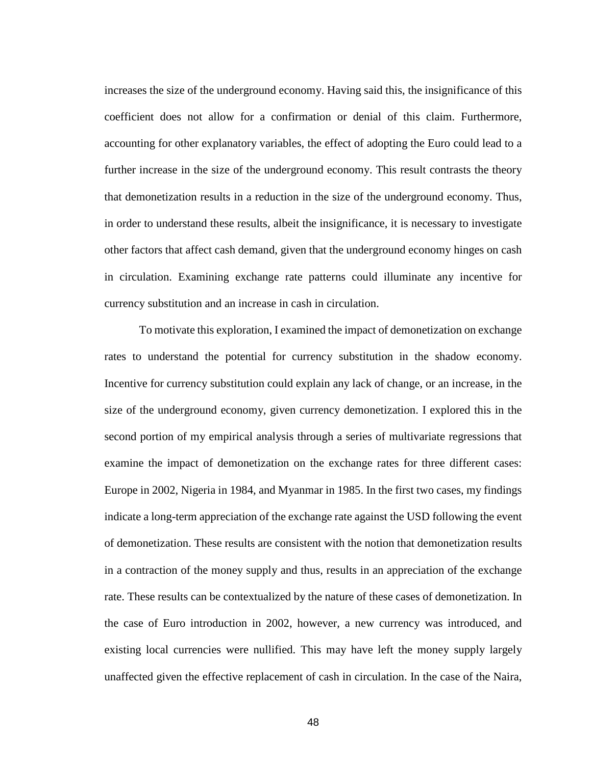increases the size of the underground economy. Having said this, the insignificance of this coefficient does not allow for a confirmation or denial of this claim. Furthermore, accounting for other explanatory variables, the effect of adopting the Euro could lead to a further increase in the size of the underground economy. This result contrasts the theory that demonetization results in a reduction in the size of the underground economy. Thus, in order to understand these results, albeit the insignificance, it is necessary to investigate other factors that affect cash demand, given that the underground economy hinges on cash in circulation. Examining exchange rate patterns could illuminate any incentive for currency substitution and an increase in cash in circulation.

To motivate this exploration, I examined the impact of demonetization on exchange rates to understand the potential for currency substitution in the shadow economy. Incentive for currency substitution could explain any lack of change, or an increase, in the size of the underground economy, given currency demonetization. I explored this in the second portion of my empirical analysis through a series of multivariate regressions that examine the impact of demonetization on the exchange rates for three different cases: Europe in 2002, Nigeria in 1984, and Myanmar in 1985. In the first two cases, my findings indicate a long-term appreciation of the exchange rate against the USD following the event of demonetization. These results are consistent with the notion that demonetization results in a contraction of the money supply and thus, results in an appreciation of the exchange rate. These results can be contextualized by the nature of these cases of demonetization. In the case of Euro introduction in 2002, however, a new currency was introduced, and existing local currencies were nullified. This may have left the money supply largely unaffected given the effective replacement of cash in circulation. In the case of the Naira,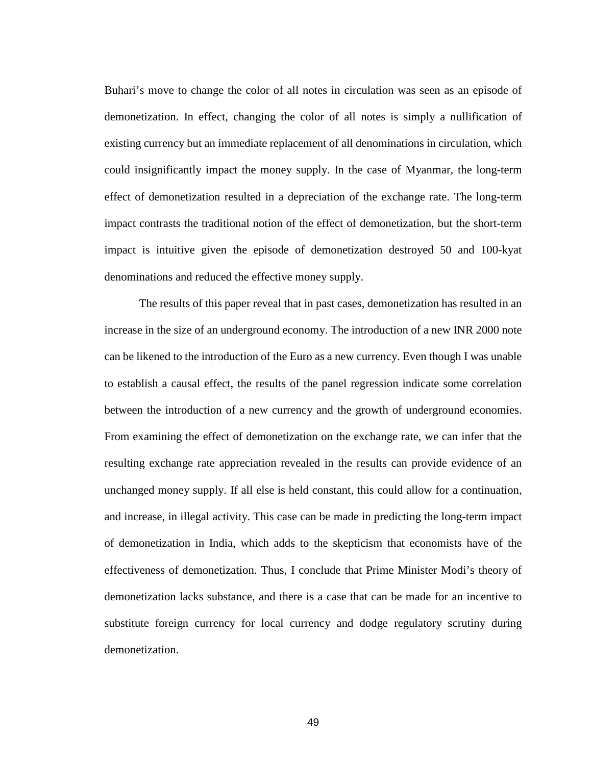Buhari's move to change the color of all notes in circulation was seen as an episode of demonetization. In effect, changing the color of all notes is simply a nullification of existing currency but an immediate replacement of all denominations in circulation, which could insignificantly impact the money supply. In the case of Myanmar, the long-term effect of demonetization resulted in a depreciation of the exchange rate. The long-term impact contrasts the traditional notion of the effect of demonetization, but the short-term impact is intuitive given the episode of demonetization destroyed 50 and 100-kyat denominations and reduced the effective money supply.

The results of this paper reveal that in past cases, demonetization has resulted in an increase in the size of an underground economy. The introduction of a new INR 2000 note can be likened to the introduction of the Euro as a new currency. Even though I was unable to establish a causal effect, the results of the panel regression indicate some correlation between the introduction of a new currency and the growth of underground economies. From examining the effect of demonetization on the exchange rate, we can infer that the resulting exchange rate appreciation revealed in the results can provide evidence of an unchanged money supply. If all else is held constant, this could allow for a continuation, and increase, in illegal activity. This case can be made in predicting the long-term impact of demonetization in India, which adds to the skepticism that economists have of the effectiveness of demonetization. Thus, I conclude that Prime Minister Modi's theory of demonetization lacks substance, and there is a case that can be made for an incentive to substitute foreign currency for local currency and dodge regulatory scrutiny during demonetization.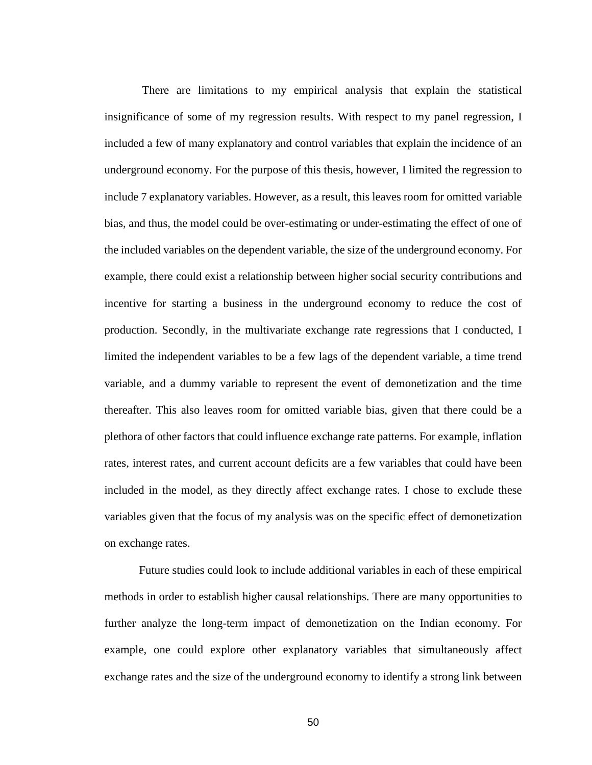There are limitations to my empirical analysis that explain the statistical insignificance of some of my regression results. With respect to my panel regression, I included a few of many explanatory and control variables that explain the incidence of an underground economy. For the purpose of this thesis, however, I limited the regression to include 7 explanatory variables. However, as a result, this leaves room for omitted variable bias, and thus, the model could be over-estimating or under-estimating the effect of one of the included variables on the dependent variable, the size of the underground economy. For example, there could exist a relationship between higher social security contributions and incentive for starting a business in the underground economy to reduce the cost of production. Secondly, in the multivariate exchange rate regressions that I conducted, I limited the independent variables to be a few lags of the dependent variable, a time trend variable, and a dummy variable to represent the event of demonetization and the time thereafter. This also leaves room for omitted variable bias, given that there could be a plethora of other factors that could influence exchange rate patterns. For example, inflation rates, interest rates, and current account deficits are a few variables that could have been included in the model, as they directly affect exchange rates. I chose to exclude these variables given that the focus of my analysis was on the specific effect of demonetization on exchange rates.

Future studies could look to include additional variables in each of these empirical methods in order to establish higher causal relationships. There are many opportunities to further analyze the long-term impact of demonetization on the Indian economy. For example, one could explore other explanatory variables that simultaneously affect exchange rates and the size of the underground economy to identify a strong link between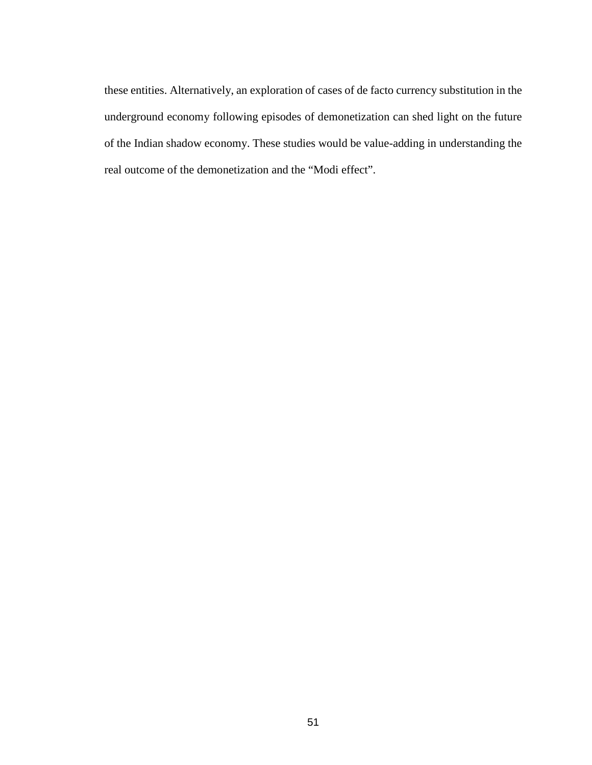these entities. Alternatively, an exploration of cases of de facto currency substitution in the underground economy following episodes of demonetization can shed light on the future of the Indian shadow economy. These studies would be value-adding in understanding the real outcome of the demonetization and the "Modi effect".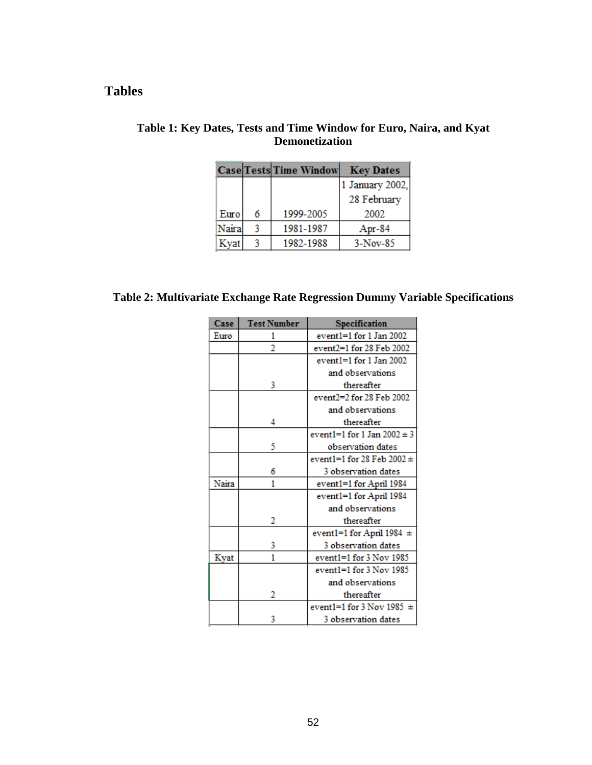# <span id="page-53-0"></span>**Tables**

|       |   | <b>Case Tests Time Window</b> | <b>Key Dates</b> |
|-------|---|-------------------------------|------------------|
|       |   |                               | 1 January 2002,  |
|       |   |                               | 28 February      |
| Euro  | 6 | 1999-2005                     | 2002             |
| Naira |   | 1981-1987                     | Apr-84           |
| Kyat  |   | 1982-1988                     | $3-Nov-85$       |

# **Table 1: Key Dates, Tests and Time Window for Euro, Naira, and Kyat Demonetization**

# **Table 2: Multivariate Exchange Rate Regression Dummy Variable Specifications**

| Case  | <b>Test Number</b> | Specification                   |
|-------|--------------------|---------------------------------|
| Euro  | 1                  | event1=1 for 1 Jan 2002         |
|       | 2                  | event2=1 for 28 Feb 2002        |
|       |                    | event $1=1$ for 1 Jan 2002      |
|       |                    | and observations                |
|       | 3                  | thereafter                      |
|       |                    | event2=2 for 28 Feb 2002        |
|       |                    | and observations                |
|       | 4                  | thereafter                      |
|       |                    | event1=1 for 1 Jan $2002 \pm 3$ |
|       | 5                  | observation dates               |
|       |                    | event1=1 for 28 Feb 2002 $\pm$  |
|       | 6                  | 3 observation dates             |
| Naira | 1                  | event1=1 for April 1984         |
|       |                    | event1=1 for April 1984         |
|       |                    | and observations                |
|       | 2                  | thereafter                      |
|       |                    | event1=1 for April 1984 $\pm$   |
|       | 3                  | 3 observation dates             |
| Kyat  | 1                  | $event1 = 1$ for $3$ Nov $1985$ |
|       |                    | event $1=1$ for $3$ Nov $1985$  |
|       |                    | and observations                |
|       | 2                  | thereafter                      |
|       |                    | event1=1 for 3 Nov 1985 $\pm$   |
|       | 3                  | 3 observation dates             |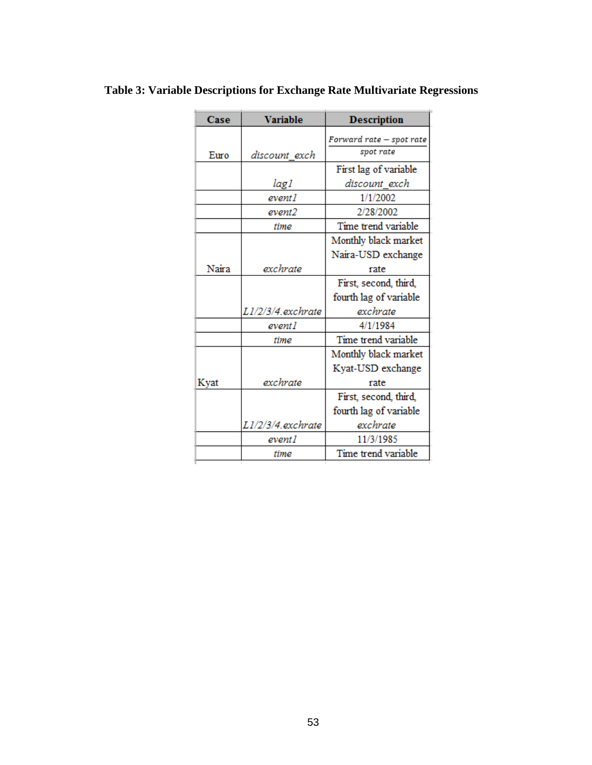| Case  | <b>Variable</b>   | <b>Description</b>       |
|-------|-------------------|--------------------------|
|       |                   | Forward rate – spot rate |
| Euro  | discount exch     | spot rate                |
|       |                   | First lag of variable    |
|       | lag l             | discount exch            |
|       | event1            | 1/1/2002                 |
|       | event2            | 2/28/2002                |
|       | <b>time</b>       | Time trend variable      |
|       |                   | Monthly black market     |
|       |                   | Naira-USD exchange       |
| Naira | exchrate          | rate                     |
|       |                   | First, second, third,    |
|       |                   | fourth lag of variable   |
|       | L1/2/3/4.exchrate | exchrate.                |
|       | event1            | 4/1/1984                 |
|       | <i>time</i>       | Time trend variable      |
|       |                   | Monthly black market     |
|       |                   | Kyat-USD exchange        |
| Kyat  | exchrate          | rate                     |
|       |                   | First, second, third,    |
|       |                   | fourth lag of variable   |
|       | L1/2/3/4.exchrate | exchrate                 |
|       | event l           | 11/3/1985                |
|       | time              | Time trend variable      |

# **Table 3: Variable Descriptions for Exchange Rate Multivariate Regressions**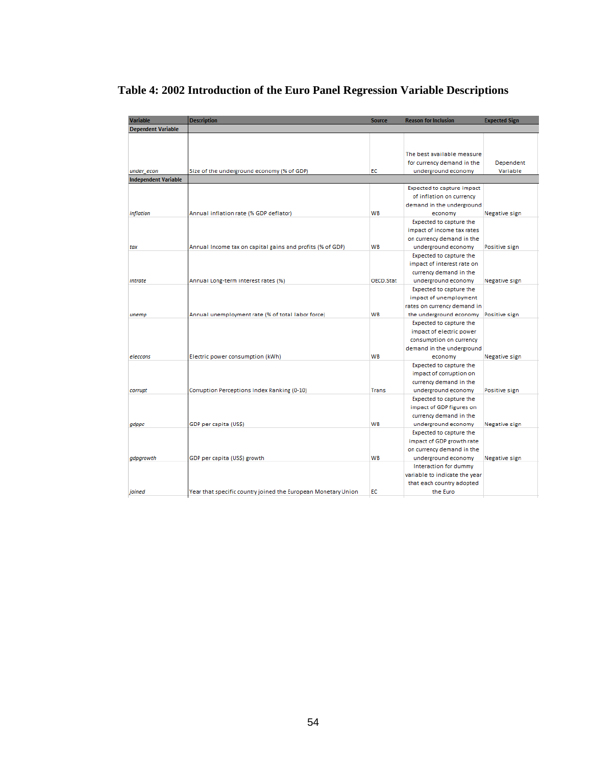| <b>Variable</b>             | <b>Description</b>                                            | <b>Source</b> | <b>Reason for Inclusion</b>   | <b>Expected Sign</b> |
|-----------------------------|---------------------------------------------------------------|---------------|-------------------------------|----------------------|
| <b>Dependent Variable</b>   |                                                               |               |                               |                      |
|                             |                                                               |               |                               |                      |
|                             |                                                               |               |                               |                      |
|                             |                                                               |               | The best available measure    |                      |
|                             |                                                               |               | for currency demand in the    | Dependent            |
| under_econ                  | Size of the underground economy (% of GDP)                    | EC            | underground economy           | Variable             |
| <b>Independent Variable</b> |                                                               |               |                               |                      |
|                             |                                                               |               | Expected to capture impact    |                      |
|                             |                                                               |               | of inflation on currency      |                      |
|                             |                                                               |               | demand in the underground     |                      |
| inflation                   | Annual inflation rate (% GDP deflator)                        | WB            | economy                       | Negative sign        |
|                             |                                                               |               | Expected to capture the       |                      |
|                             |                                                               |               | impact of income tax rates    |                      |
|                             |                                                               |               | on currency demand in the     |                      |
| tax                         | Annual Income tax on capital gains and profits (% of GDP)     | WB            | underground economy           | Positive sign        |
|                             |                                                               |               | Expected to capture the       |                      |
|                             |                                                               |               |                               |                      |
|                             |                                                               |               | impact of interest rate on    |                      |
|                             |                                                               |               | currency demand in the        |                      |
| intrate                     | Annual Long-term interest rates (%)                           | OECD.Stat     | underground economy           | Negative sign        |
|                             |                                                               |               | Expected to capture the       |                      |
|                             |                                                               |               | impact of unemployment        |                      |
|                             |                                                               |               | rates on currency demand in   |                      |
| unemp                       | Annual unemployment rate (% of total labor force)             | <b>WB</b>     | the underground economy       | Positive sign        |
|                             |                                                               |               | Expected to capture the       |                      |
|                             |                                                               |               | impact of electric power      |                      |
|                             |                                                               |               | consumption on currency       |                      |
|                             |                                                               |               | demand in the underground     |                      |
| eleccons                    | Electric power consumption (kWh)                              | <b>WB</b>     | economy                       | Negative sign        |
|                             |                                                               |               | Expected to capture the       |                      |
|                             |                                                               |               | impact of corruption on       |                      |
|                             |                                                               |               | currency demand in the        |                      |
| corrupt                     | Corruption Perceptions Index Ranking (0-10)                   | Trans         | underground economy           | Positive sign        |
|                             |                                                               |               | Expected to capture the       |                      |
|                             |                                                               |               | impact of GDP figures on      |                      |
|                             |                                                               |               | currency demand in the        |                      |
| gdppc                       | GDP per capita (US\$)                                         | <b>WB</b>     | underground economy           | Negative sign        |
|                             |                                                               |               | Expected to capture the       |                      |
|                             |                                                               |               |                               |                      |
|                             |                                                               |               | impact of GDP growth rate     |                      |
|                             |                                                               |               | on currency demand in the     |                      |
| gdpgrowth                   | GDP per capita (US\$) growth                                  | WB            | underground economy           | Negative sign        |
|                             |                                                               |               | Interaction for dummy         |                      |
|                             |                                                               |               | variable to indicate the year |                      |
|                             |                                                               |               | that each country adopted     |                      |
| joined                      | Year that specific country joined the European Monetary Union | EC            | the Euro                      |                      |

# **Table 4: 2002 Introduction of the Euro Panel Regression Variable Descriptions**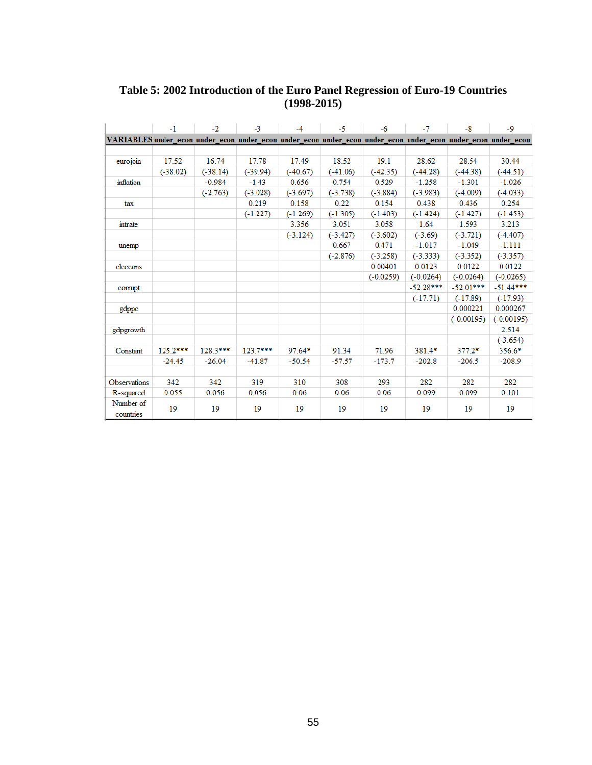## **Table 5: 2002 Introduction of the Euro Panel Regression of Euro-19 Countries (1998-2015)**

|                                                                                                              | $-1$       | $-2$       | $-3$       | $-4$       | $-5$       | $-6$        | $-7$        | $-8$         | $-9$         |
|--------------------------------------------------------------------------------------------------------------|------------|------------|------------|------------|------------|-------------|-------------|--------------|--------------|
| VARIABLES under econ under econ under econ under econ under econ under econ under econ under econ under econ |            |            |            |            |            |             |             |              |              |
|                                                                                                              |            |            |            |            |            |             |             |              |              |
| eurojoin                                                                                                     | 17.52      | 16.74      | 17.78      | 17.49      | 18.52      | 19.1        | 28.62       | 28.54        | 30.44        |
|                                                                                                              | $(-38.02)$ | $(-38.14)$ | $(-39.94)$ | $(-40.67)$ | $(-41.06)$ | $(-42.35)$  | $(-44.28)$  | $(-44.38)$   | $(-44.51)$   |
| inflation                                                                                                    |            | $-0.984$   | $-1.43$    | 0.656      | 0.754      | 0.529       | $-1.258$    | $-1.301$     | $-1.026$     |
|                                                                                                              |            | $(-2.763)$ | $(-3.028)$ | $(-3.697)$ | $(-3.738)$ | $(-3.884)$  | $(-3.983)$  | $(-4.009)$   | $(-4.033)$   |
| tax                                                                                                          |            |            | 0.219      | 0.158      | 0.22       | 0.154       | 0.438       | 0.436        | 0.254        |
|                                                                                                              |            |            | $(-1.227)$ | $(-1.269)$ | $(-1.305)$ | $(-1.403)$  | $(-1.424)$  | $(-1.427)$   | $(-1.453)$   |
| intrate                                                                                                      |            |            |            | 3.356      | 3.051      | 3.058       | 1.64        | 1.593        | 3.213        |
|                                                                                                              |            |            |            | $(-3.124)$ | $(-3.427)$ | $(-3.602)$  | $(-3.69)$   | $(-3.721)$   | $(-4.407)$   |
| unemp                                                                                                        |            |            |            |            | 0.667      | 0.471       | $-1.017$    | $-1.049$     | $-1.111$     |
|                                                                                                              |            |            |            |            | $(-2.876)$ | $(-3.258)$  | $(-3.333)$  | $(-3.352)$   | $(-3.357)$   |
| eleccons                                                                                                     |            |            |            |            |            | 0.00401     | 0.0123      | 0.0122       | 0.0122       |
|                                                                                                              |            |            |            |            |            | $(-0.0259)$ | $(-0.0264)$ | $(-0.0264)$  | $(-0.0265)$  |
| corrupt                                                                                                      |            |            |            |            |            |             | $-52.28***$ | $-52.01***$  | $-51.44***$  |
|                                                                                                              |            |            |            |            |            |             | $(-17.71)$  | $(-17.89)$   | $(-17.93)$   |
| gdppc                                                                                                        |            |            |            |            |            |             |             | 0.000221     | 0.000267     |
|                                                                                                              |            |            |            |            |            |             |             | $(-0.00195)$ | $(-0.00195)$ |
| gdpgrowth                                                                                                    |            |            |            |            |            |             |             |              | 2.514        |
|                                                                                                              |            |            |            |            |            |             |             |              | $(-3.654)$   |
| Constant                                                                                                     | 125.2***   | 128.3***   | 123.7***   | $97.64*$   | 91.34      | 71.96       | 381.4*      | $377.2*$     | $356.6*$     |
|                                                                                                              | $-24.45$   | $-26.04$   | $-41.87$   | $-50.54$   | $-57.57$   | $-173.7$    | $-202.8$    | $-206.5$     | $-208.9$     |
|                                                                                                              |            |            |            |            |            |             |             |              |              |
| <b>Observations</b>                                                                                          | 342        | 342        | 319        | 310        | 308        | 293         | 282         | 282          | 282          |
| R-squared                                                                                                    | 0.055      | 0.056      | 0.056      | 0.06       | 0.06       | 0.06        | 0.099       | 0.099        | 0.101        |
| Number of<br>countries                                                                                       | 19         | 19         | 19         | 19         | 19         | 19          | 19          | 19           | 19           |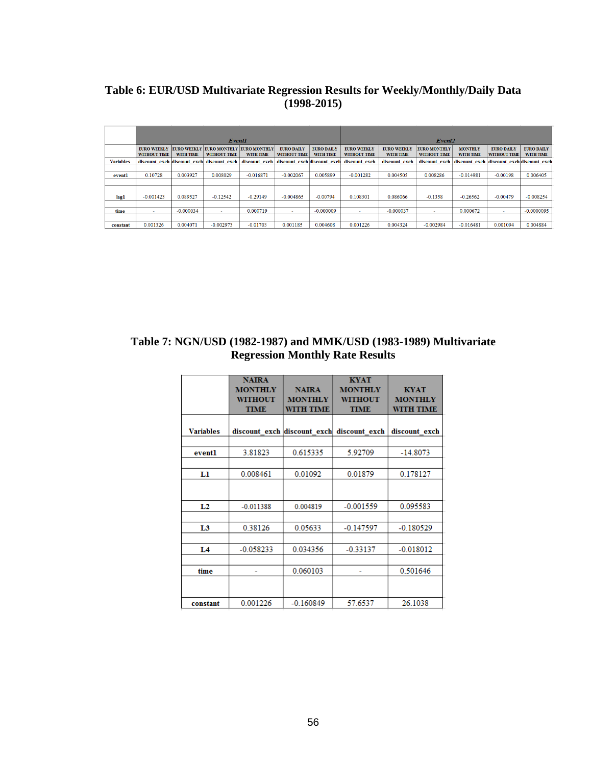# **Table 6: EUR/USD Multivariate Regression Results for Weekly/Monthly/Daily Data (1998-2015)**

|                  |                                           |                             | Event1                                          |                                  |                                           | Event <sub>2</sub>             |                                    |                                        |                                     |                                    |                                           |                                |
|------------------|-------------------------------------------|-----------------------------|-------------------------------------------------|----------------------------------|-------------------------------------------|--------------------------------|------------------------------------|----------------------------------------|-------------------------------------|------------------------------------|-------------------------------------------|--------------------------------|
|                  | <b>EURO WEEKLY</b><br><b>WITHOUT TIME</b> | <b>WITH TIME</b>            | <b>EURO WEEKLY EURO MONTHLY</b><br>WITHOUT TIME | <b>EURO MONTHLY</b><br>WITH TIME | <b>EURO DAILY</b><br><b>WITHOUT TIME</b>  | <b>EURO DAILY</b><br>WITH TIME | <b>EURO WEEKLY</b><br>WITHOUT TIME | <b>EURO WEEKLY</b><br><b>WITH TIME</b> | <b>EURO MONTHLY</b><br>WITHOUT TIME | <b>MONTHLY</b><br><b>WITH TIME</b> | <b>EURO DAILY</b><br>WITHOUT TIME         | <b>EURO DAILY</b><br>WITH TIME |
| <b>Variables</b> |                                           | discount exch discount exch | discount exch                                   |                                  | discount exch discount exch discount exch |                                | discount exch                      | discount exch                          | discount exch                       |                                    | discount exch discount exch discount exch |                                |
|                  |                                           |                             |                                                 |                                  |                                           |                                |                                    |                                        |                                     |                                    |                                           |                                |
| eventl           | 0.10728                                   | 0.003927                    | 0.008029                                        | $-0.016871$                      | $-0.002067$                               | 0.005899                       | $-0.001282$                        | 0.004505                               | 0.008286                            | $-0.014981$                        | $-0.00198$                                | 0.006405                       |
|                  |                                           |                             |                                                 |                                  |                                           |                                |                                    |                                        |                                     |                                    |                                           |                                |
|                  |                                           |                             |                                                 |                                  |                                           |                                |                                    |                                        |                                     |                                    |                                           |                                |
| lagl             | $-0.001423$                               | 0.089527                    | $-0.12542$                                      | $-0.29149$                       | $-0.004865$                               | $-0.00794$                     | 0.108301                           | 0.086066                               | $-0.1358$                           | $-0.26562$                         | $-0.00479$                                | $-0.008254$                    |
|                  |                                           |                             |                                                 |                                  |                                           |                                |                                    |                                        |                                     |                                    |                                           |                                |
| time             | ٠                                         | $-0.000034$                 |                                                 | 0.000719                         | $\sim$                                    | $-0.000009$                    |                                    | $-0.000037$                            | $\overline{\phantom{a}}$            | 0.000672                           |                                           | $-0.0000095$                   |
|                  |                                           |                             |                                                 |                                  |                                           |                                |                                    |                                        |                                     |                                    |                                           |                                |
| constant         | 0.001326                                  | 0.004071                    | $-0.002973$                                     | $-0.01703$                       | 0.001185                                  | 0.004608                       | 0.001226                           | 0.004324                               | $-0.002984$                         | $-0.016481$                        | 0.001094                                  | 0.004884                       |

# **Table 7: NGN/USD (1982-1987) and MMK/USD (1983-1989) Multivariate Regression Monthly Rate Results**

|                  | <b>NAIRA</b><br><b>MONTHLY</b><br><b>WITHOUT</b><br><b>TIME</b> | <b>NAIRA</b><br><b>MONTHLY</b><br><b>WITH TIME</b> | <b>KYAT</b><br><b>MONTHLY</b><br><b>WITHOUT</b><br><b>TIME</b> | <b>KYAT</b><br><b>MONTHLY</b><br><b>WITH TIME</b> |
|------------------|-----------------------------------------------------------------|----------------------------------------------------|----------------------------------------------------------------|---------------------------------------------------|
| <b>Variables</b> | discount exch discount exch                                     |                                                    | discount exch                                                  | discount exch                                     |
|                  |                                                                 |                                                    |                                                                |                                                   |
| eventl           | 3.81823                                                         | 0.615335                                           | 5.92709                                                        | $-14.8073$                                        |
|                  |                                                                 |                                                    |                                                                |                                                   |
| Ll               | 0.008461                                                        | 0.01092                                            | 0.01879                                                        | 0.178127                                          |
|                  |                                                                 |                                                    |                                                                |                                                   |
| L2               | $-0.011388$                                                     | 0.004819                                           | $-0.001559$                                                    | 0.095583                                          |
|                  |                                                                 |                                                    |                                                                |                                                   |
| L3               | 0.38126                                                         | 0.05633                                            | $-0.147597$                                                    | $-0.180529$                                       |
|                  |                                                                 |                                                    |                                                                |                                                   |
| L <sub>4</sub>   | $-0.058233$                                                     | 0.034356                                           | $-0.33137$                                                     | $-0.018012$                                       |
|                  |                                                                 |                                                    |                                                                |                                                   |
| time             |                                                                 | 0.060103                                           |                                                                | 0.501646                                          |
|                  |                                                                 |                                                    |                                                                |                                                   |
| constant         | 0.001226                                                        | $-0.160849$                                        | 57.6537                                                        | 26.1038                                           |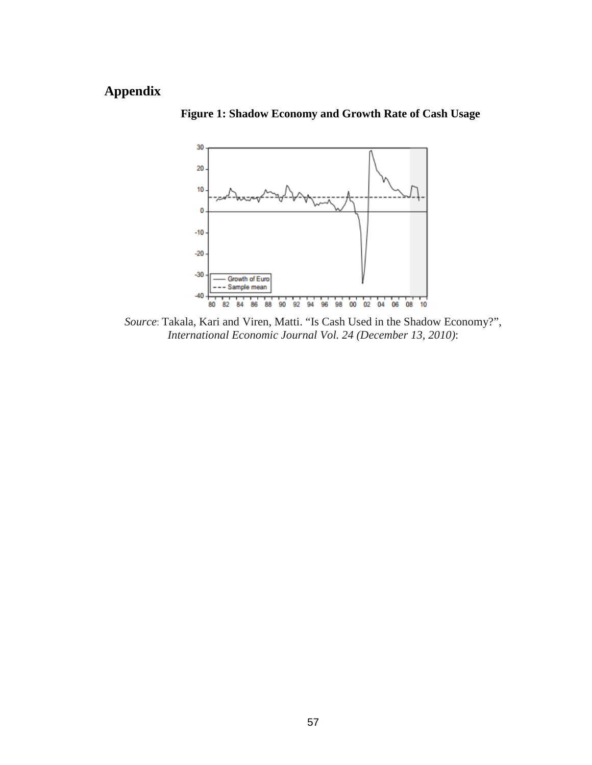# <span id="page-58-0"></span>**Appendix**



**Figure 1: Shadow Economy and Growth Rate of Cash Usage** 

*Source*: Takala, Kari and Viren, Matti. "Is Cash Used in the Shadow Economy?", *International Economic Journal Vol. 24 (December 13, 2010)*: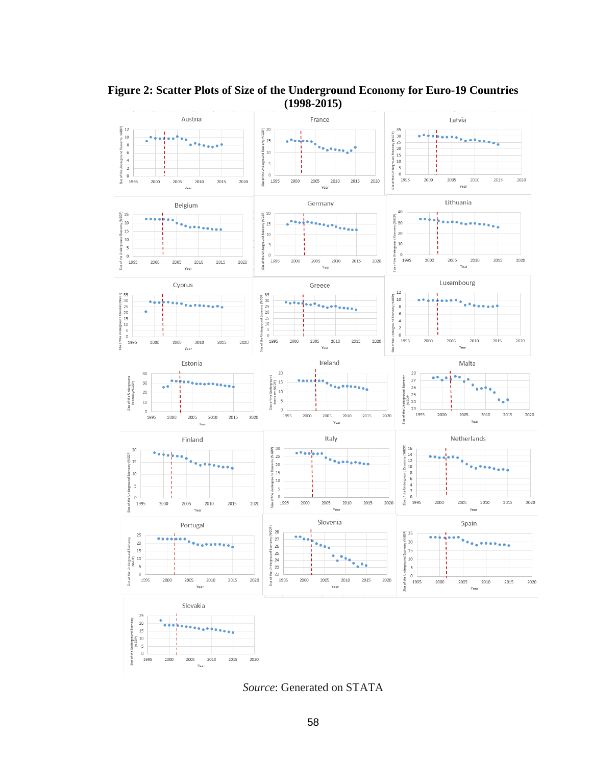

**Figure 2: Scatter Plots of Size of the Underground Economy for Euro-19 Countries (1998-2015)**

*Source*: Generated on STATA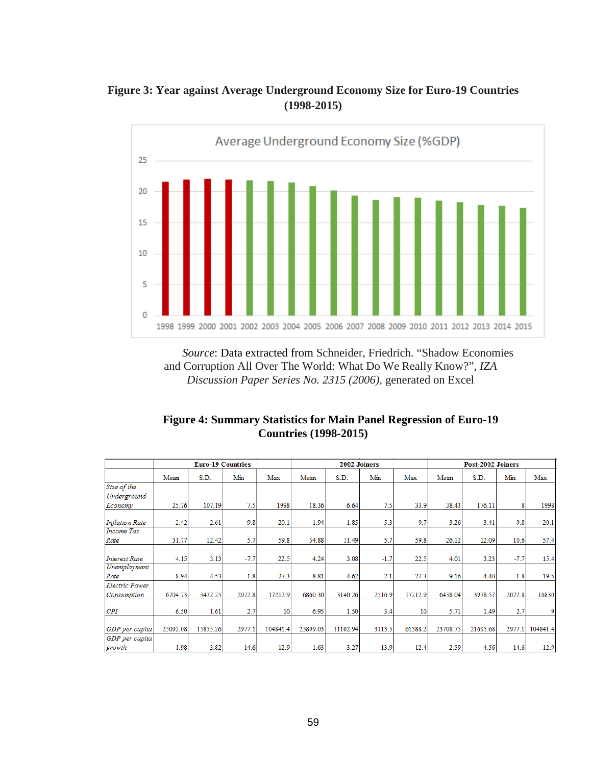# **Figure 3: Year against Average Underground Economy Size for Euro-19 Countries (1998-2015)**



*Source*: Data extracted from Schneider, Friedrich. "Shadow Economies and Corruption All Over The World: What Do We Really Know?", *IZA Discussion Paper Series No. 2315 (2006),* generated on Excel

| <b>Figure 4: Summary Statistics for Main Panel Regression of Euro-19</b> |
|--------------------------------------------------------------------------|
| <b>Countries (1998-2015)</b>                                             |

|                       |          | <b>Euro-19 Countries</b> |         |          | 2002 Joiners |          |         |         | Post-2002 Joiners |          |         |          |
|-----------------------|----------|--------------------------|---------|----------|--------------|----------|---------|---------|-------------------|----------|---------|----------|
|                       | Mean     | S.D.                     | Min     | Max      | Mean         | S.D.     | Min     | Max     | Mean              | S.D.     | Min     | Max      |
| Size of the           |          |                          |         |          |              |          |         |         |                   |          |         |          |
| Underground           |          |                          |         |          |              |          |         |         |                   |          |         |          |
| Economy               | 25.76    | 107.19                   | 7.5     | 1998     | 18.36        | 6.64     | 7.5     | 33.9    | 38.43             | 176.11   | 8       | 1998     |
| <b>Inflation Rate</b> | 2.42     | 2.61                     | $-9.8$  | 20.1     | 1.94         | 1.85     | $-5.3$  | 9.7     | 3.26              | 3.41     | $-9.8$  | 20.1     |
| Income Tax            |          |                          |         |          |              |          |         |         |                   |          |         |          |
| Rate                  | 31.77    | 12.42                    | 5.7     | 59.8     | 34.88        | 11.49    | 5.7     | 59.8    | 26.12             | 12.09    | 10.6    | 57.4     |
|                       |          |                          |         |          |              |          |         |         |                   |          |         |          |
| <b>Interest Rate</b>  | 4.15     | 3.13                     | $-7.7$  | 22.5     | 4.24         | 3.08     | $-1.7$  | 22.5    | 4.01              | 3.23     | $-7.7$  | 15.4     |
| Unemployment          |          |                          |         |          |              |          |         |         |                   |          |         |          |
| Rate                  | 8.94     | 4.53                     | 1.8     | 27.3     | 8.81         | 4.62     | 2.1     | 27.3    | 9.16              | 4.40     | 1.8     | 19.5     |
| <b>Electric Power</b> |          |                          |         |          |              |          |         |         |                   |          |         |          |
| Consumption           | 6704.73  | 3472.25                  | 2072.8  | 17212.9  | 6860.30      | 3140.26  | 2516.9  | 17212.9 | 6438.04           | 3978.57  | 2072.8  | 16830    |
| CPI                   | 6.50     | 1.61                     | 2.7     | 10       | 6.95         | 1.50     | 3.4     | 10      | 5.71              | 1.49     | 2.7     | 9        |
| GDP per capita        | 25092.08 | 15855.26                 | 2977.1  | 104841.4 | 25899.03     | 11102.94 | 3113.5  | 61388.2 | 23708.75          | 21695.68 | 2977.1  | 104841.4 |
| GDP per capita        |          |                          |         |          |              |          |         |         |                   |          |         |          |
| growth                | 1.98     | 3.82                     | $-14.6$ | 12.9     | 1.63         | 3.27     | $-13.9$ | 12.4    | 2.59              | 4.56     | $-14.6$ | 12.9     |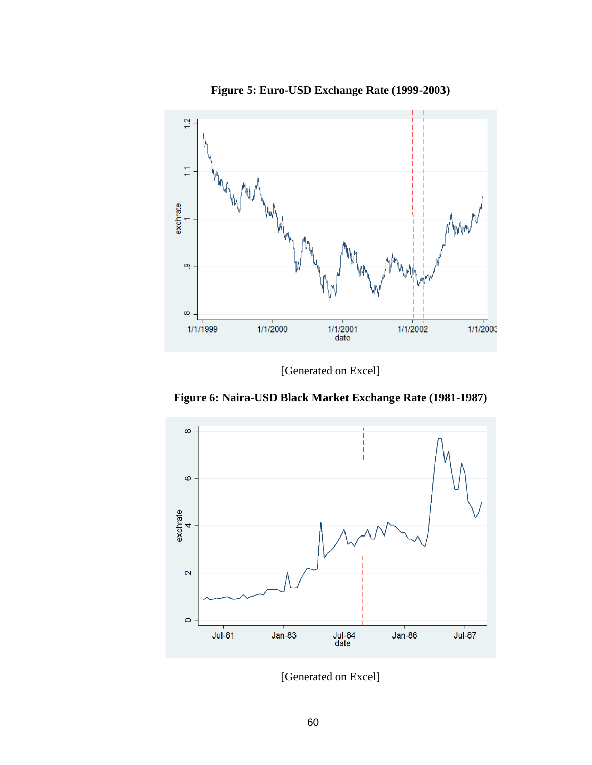

**Figure 5: Euro-USD Exchange Rate (1999-2003)**

[Generated on Excel]

**Figure 6: Naira-USD Black Market Exchange Rate (1981-1987)**



[Generated on Excel]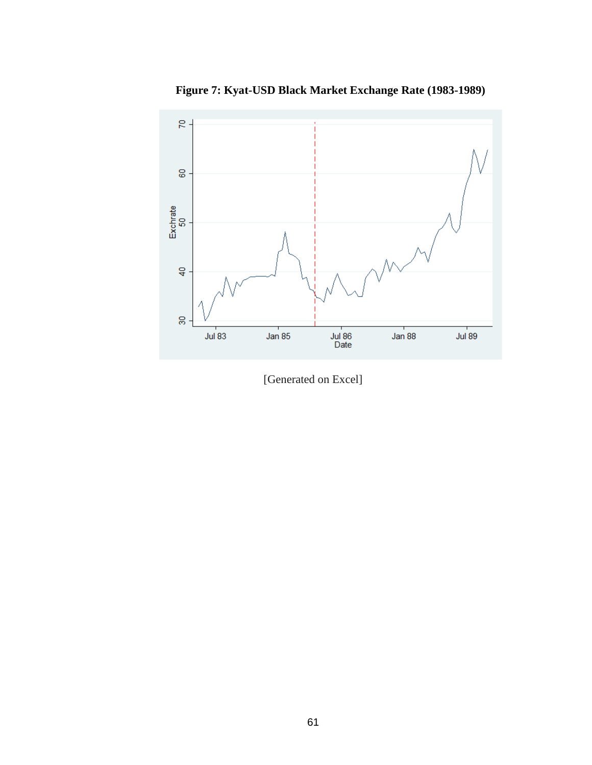

**Figure 7: Kyat-USD Black Market Exchange Rate (1983-1989)**

[Generated on Excel]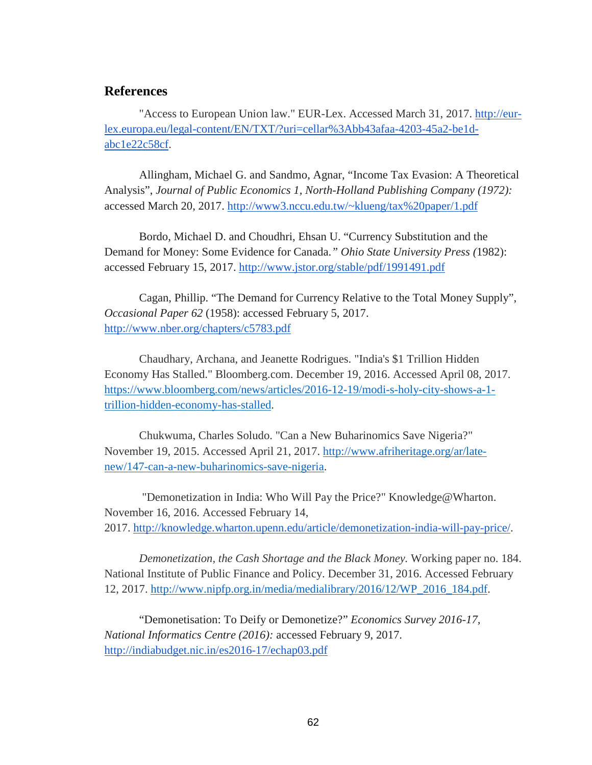## <span id="page-63-0"></span>**References**

"Access to European Union law." EUR-Lex. Accessed March 31, 2017. [http://eur](http://eur-lex.europa.eu/legal-content/EN/TXT/?uri=cellar%3Abb43afaa-4203-45a2-be1d-abc1e22c58cf)[lex.europa.eu/legal-content/EN/TXT/?uri=cellar%3Abb43afaa-4203-45a2-be1d](http://eur-lex.europa.eu/legal-content/EN/TXT/?uri=cellar%3Abb43afaa-4203-45a2-be1d-abc1e22c58cf)[abc1e22c58cf.](http://eur-lex.europa.eu/legal-content/EN/TXT/?uri=cellar%3Abb43afaa-4203-45a2-be1d-abc1e22c58cf)

Allingham, Michael G. and Sandmo, Agnar, "Income Tax Evasion: A Theoretical Analysis", *Journal of Public Economics 1, North-Holland Publishing Company (1972):*  accessed March 20, 2017. [http://www3.nccu.edu.tw/~klueng/tax%20paper/1.pdf](http://www3.nccu.edu.tw/%7Eklueng/tax%20paper/1.pdf)

Bordo, Michael D. and Choudhri, Ehsan U. "Currency Substitution and the Demand for Money: Some Evidence for Canada.*" Ohio State University Press (*1982): accessed February 15, 2017.<http://www.jstor.org/stable/pdf/1991491.pdf>

Cagan, Phillip. "The Demand for Currency Relative to the Total Money Supply", *Occasional Paper 62* (1958): accessed February 5, 2017. <http://www.nber.org/chapters/c5783.pdf>

Chaudhary, Archana, and Jeanette Rodrigues. "India's \$1 Trillion Hidden Economy Has Stalled." Bloomberg.com. December 19, 2016. Accessed April 08, 2017. [https://www.bloomberg.com/news/articles/2016-12-19/modi-s-holy-city-shows-a-1](https://www.bloomberg.com/news/articles/2016-12-19/modi-s-holy-city-shows-a-1-trillion-hidden-economy-has-stalled) [trillion-hidden-economy-has-stalled.](https://www.bloomberg.com/news/articles/2016-12-19/modi-s-holy-city-shows-a-1-trillion-hidden-economy-has-stalled)

Chukwuma, Charles Soludo. "Can a New Buharinomics Save Nigeria?" November 19, 2015. Accessed April 21, 2017. [http://www.afriheritage.org/ar/late](http://www.afriheritage.org/ar/late-new/147-can-a-new-buharinomics-save-nigeria)[new/147-can-a-new-buharinomics-save-nigeria.](http://www.afriheritage.org/ar/late-new/147-can-a-new-buharinomics-save-nigeria)

"Demonetization in India: Who Will Pay the Price?" Knowledge@Wharton. November 16, 2016. Accessed February 14, 2017. [http://knowledge.wharton.upenn.edu/article/demonetization-india-will-pay-price/.](http://knowledge.wharton.upenn.edu/article/demonetization-india-will-pay-price/)

*Demonetization, the Cash Shortage and the Black Money.* Working paper no. 184. National Institute of Public Finance and Policy. December 31, 2016. Accessed February 12, 2017. [http://www.nipfp.org.in/media/medialibrary/2016/12/WP\\_2016\\_184.pdf.](http://www.nipfp.org.in/media/medialibrary/2016/12/WP_2016_184.pdf)

"Demonetisation: To Deify or Demonetize?" *Economics Survey 2016-17, National Informatics Centre (2016):* accessed February 9, 2017. <http://indiabudget.nic.in/es2016-17/echap03.pdf>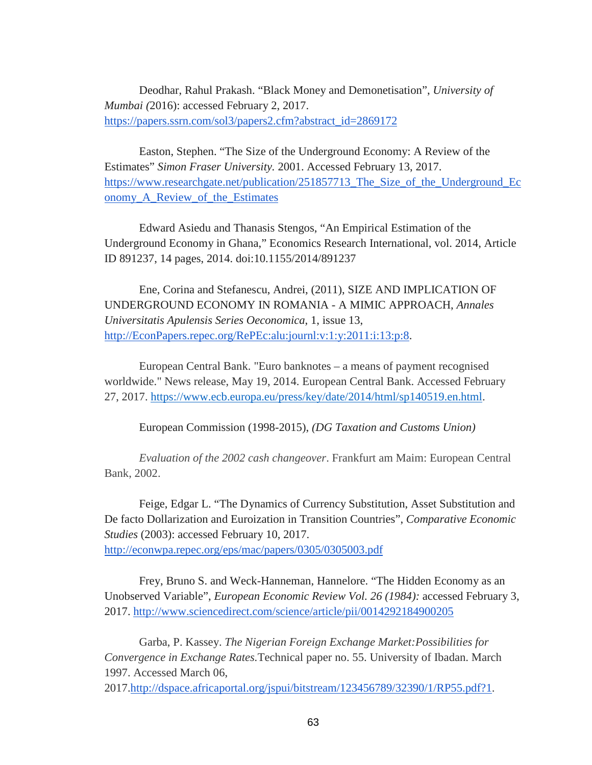Deodhar, Rahul Prakash. "Black Money and Demonetisation", *University of Mumbai (*2016): accessed February 2, 2017. [https://papers.ssrn.com/sol3/papers2.cfm?abstract\\_id=2869172](https://papers.ssrn.com/sol3/papers2.cfm?abstract_id=2869172)

Easton, Stephen. "The Size of the Underground Economy: A Review of the Estimates" *Simon Fraser University.* 2001. Accessed February 13, 2017. [https://www.researchgate.net/publication/251857713\\_The\\_Size\\_of\\_the\\_Underground\\_Ec](https://www.researchgate.net/publication/251857713_The_Size_of_the_Underground_Economy_A_Review_of_the_Estimates) [onomy\\_A\\_Review\\_of\\_the\\_Estimates](https://www.researchgate.net/publication/251857713_The_Size_of_the_Underground_Economy_A_Review_of_the_Estimates)

Edward Asiedu and Thanasis Stengos, "An Empirical Estimation of the Underground Economy in Ghana," Economics Research International, vol. 2014, Article ID 891237, 14 pages, 2014. doi:10.1155/2014/891237

Ene, Corina and Stefanescu, Andrei, (2011), SIZE AND IMPLICATION OF UNDERGROUND ECONOMY IN ROMANIA - A MIMIC APPROACH, *Annales Universitatis Apulensis Series Oeconomica*, 1, issue 13, [http://EconPapers.repec.org/RePEc:alu:journl:v:1:y:2011:i:13:p:8.](http://econpapers.repec.org/RePEc:alu:journl:v:1:y:2011:i:13:p:8)

European Central Bank. "Euro banknotes – a means of payment recognised worldwide." News release, May 19, 2014. European Central Bank. Accessed February 27, 2017. [https://www.ecb.europa.eu/press/key/date/2014/html/sp140519.en.html.](https://www.ecb.europa.eu/press/key/date/2014/html/sp140519.en.html)

European Commission (1998-2015), *(DG Taxation and Customs Union)* 

*Evaluation of the 2002 cash changeover*. Frankfurt am Maim: European Central Bank, 2002.

Feige, Edgar L. "The Dynamics of Currency Substitution, Asset Substitution and De facto Dollarization and Euroization in Transition Countries", *Comparative Economic Studies* (2003): accessed February 10, 2017.

<http://econwpa.repec.org/eps/mac/papers/0305/0305003.pdf>

Frey, Bruno S. and Weck-Hanneman, Hannelore. "The Hidden Economy as an Unobserved Variable", *European Economic Review Vol. 26 (1984):* accessed February 3, 2017.<http://www.sciencedirect.com/science/article/pii/0014292184900205>

Garba, P. Kassey. *The Nigerian Foreign Exchange Market:Possibilities for Convergence in Exchange Rates.*Technical paper no. 55. University of Ibadan. March 1997. Accessed March 06,

2017[.http://dspace.africaportal.org/jspui/bitstream/123456789/32390/1/RP55.pdf?1.](http://dspace.africaportal.org/jspui/bitstream/123456789/32390/1/RP55.pdf?1)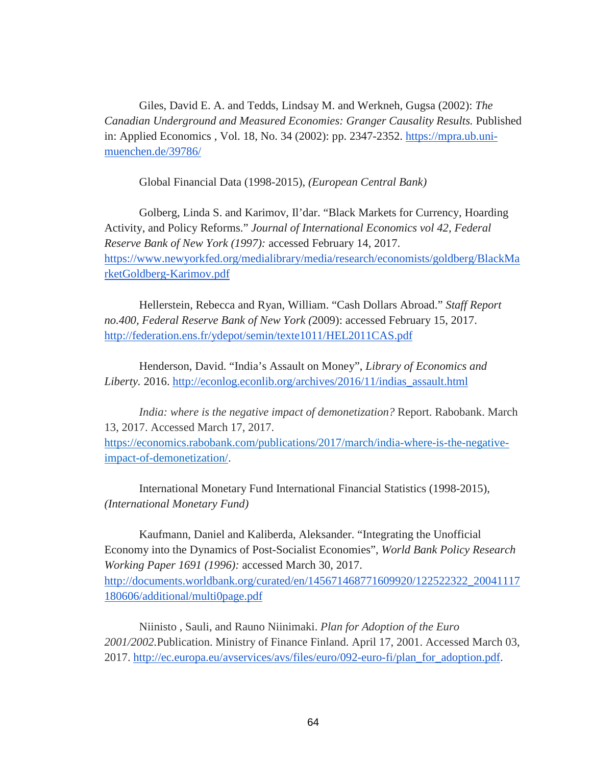Giles, David E. A. and Tedds, Lindsay M. and Werkneh, Gugsa (2002): *The Canadian Underground and Measured Economies: Granger Causality Results.* Published in: Applied Economics , Vol. 18, No. 34 (2002): pp. 2347-2352. [https://mpra.ub.uni](https://mpra.ub.uni-muenchen.de/39786/)[muenchen.de/39786/](https://mpra.ub.uni-muenchen.de/39786/)

Global Financial Data (1998-2015), *(European Central Bank)*

Golberg, Linda S. and Karimov, Il'dar. "Black Markets for Currency, Hoarding Activity, and Policy Reforms." *Journal of International Economics vol 42, Federal Reserve Bank of New York (1997):* accessed February 14, 2017. [https://www.newyorkfed.org/medialibrary/media/research/economists/goldberg/BlackMa](https://www.newyorkfed.org/medialibrary/media/research/economists/goldberg/BlackMarketGoldberg-Karimov.pdf) [rketGoldberg-Karimov.pdf](https://www.newyorkfed.org/medialibrary/media/research/economists/goldberg/BlackMarketGoldberg-Karimov.pdf)

Hellerstein, Rebecca and Ryan, William. "Cash Dollars Abroad." *Staff Report no.400, Federal Reserve Bank of New York (*2009): accessed February 15, 2017. <http://federation.ens.fr/ydepot/semin/texte1011/HEL2011CAS.pdf>

Henderson, David. "India's Assault on Money", *Library of Economics and Liberty.* 2016. [http://econlog.econlib.org/archives/2016/11/indias\\_assault.html](http://econlog.econlib.org/archives/2016/11/indias_assault.html)

*India: where is the negative impact of demonetization?* Report. Rabobank. March 13, 2017. Accessed March 17, 2017. [https://economics.rabobank.com/publications/2017/march/india-where-is-the-negative](https://economics.rabobank.com/publications/2017/march/india-where-is-the-negative-impact-of-demonetization/)[impact-of-demonetization/.](https://economics.rabobank.com/publications/2017/march/india-where-is-the-negative-impact-of-demonetization/)

International Monetary Fund International Financial Statistics (1998-2015), *(International Monetary Fund)*

Kaufmann, Daniel and Kaliberda, Aleksander. "Integrating the Unofficial Economy into the Dynamics of Post-Socialist Economies", *World Bank Policy Research Working Paper 1691 (1996):* accessed March 30, 2017. [http://documents.worldbank.org/curated/en/145671468771609920/122522322\\_20041117](http://documents.worldbank.org/curated/en/145671468771609920/122522322_20041117180606/additional/multi0page.pdf) [180606/additional/multi0page.pdf](http://documents.worldbank.org/curated/en/145671468771609920/122522322_20041117180606/additional/multi0page.pdf)

Niinisto , Sauli, and Rauno Niinimaki. *Plan for Adoption of the Euro 2001/2002.*Publication. Ministry of Finance Finland. April 17, 2001. Accessed March 03, 2017. [http://ec.europa.eu/avservices/avs/files/euro/092-euro-fi/plan\\_for\\_adoption.pdf.](http://ec.europa.eu/avservices/avs/files/euro/092-euro-fi/plan_for_adoption.pdf)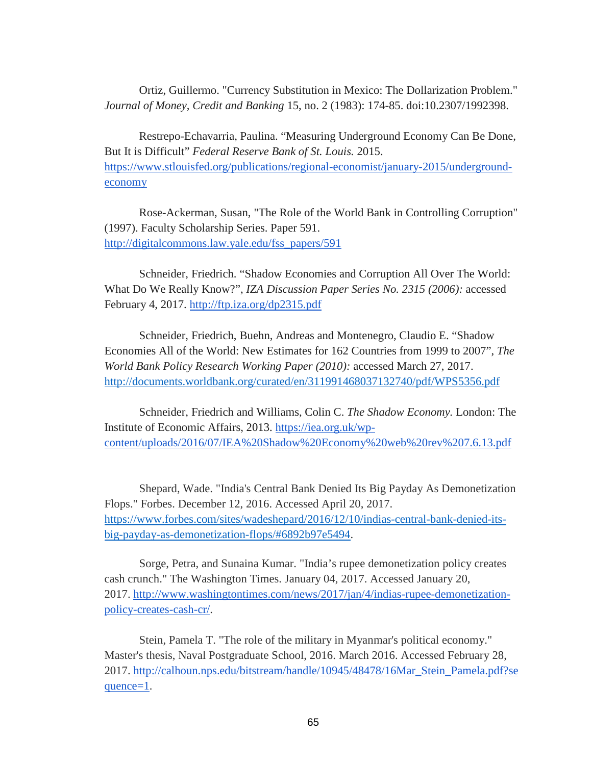Ortiz, Guillermo. "Currency Substitution in Mexico: The Dollarization Problem." *Journal of Money, Credit and Banking* 15, no. 2 (1983): 174-85. doi:10.2307/1992398.

Restrepo-Echavarria, Paulina. "Measuring Underground Economy Can Be Done, But It is Difficult" *Federal Reserve Bank of St. Louis.* 2015. [https://www.stlouisfed.org/publications/regional-economist/january-2015/underground](https://www.stlouisfed.org/publications/regional-economist/january-2015/underground-economy)[economy](https://www.stlouisfed.org/publications/regional-economist/january-2015/underground-economy)

Rose-Ackerman, Susan, "The Role of the World Bank in Controlling Corruption" (1997). Faculty Scholarship Series. Paper 591. [http://digitalcommons.law.yale.edu/fss\\_papers/591](http://digitalcommons.law.yale.edu/fss_papers/591)

Schneider, Friedrich. "Shadow Economies and Corruption All Over The World: What Do We Really Know?", *IZA Discussion Paper Series No. 2315 (2006):* accessed February 4, 2017.<http://ftp.iza.org/dp2315.pdf>

Schneider, Friedrich, Buehn, Andreas and Montenegro, Claudio E. "Shadow Economies All of the World: New Estimates for 162 Countries from 1999 to 2007", *The World Bank Policy Research Working Paper (2010):* accessed March 27, 2017. <http://documents.worldbank.org/curated/en/311991468037132740/pdf/WPS5356.pdf>

Schneider, Friedrich and Williams, Colin C. *The Shadow Economy.* London: The Institute of Economic Affairs, 2013. [https://iea.org.uk/wp](https://iea.org.uk/wp-content/uploads/2016/07/IEA%20Shadow%20Economy%20web%20rev%207.6.13.pdf)[content/uploads/2016/07/IEA%20Shadow%20Economy%20web%20rev%207.6.13.pdf](https://iea.org.uk/wp-content/uploads/2016/07/IEA%20Shadow%20Economy%20web%20rev%207.6.13.pdf)

Shepard, Wade. "India's Central Bank Denied Its Big Payday As Demonetization Flops." Forbes. December 12, 2016. Accessed April 20, 2017. [https://www.forbes.com/sites/wadeshepard/2016/12/10/indias-central-bank-denied-its](https://www.forbes.com/sites/wadeshepard/2016/12/10/indias-central-bank-denied-its-big-payday-as-demonetization-flops/#6892b97e5494)[big-payday-as-demonetization-flops/#6892b97e5494.](https://www.forbes.com/sites/wadeshepard/2016/12/10/indias-central-bank-denied-its-big-payday-as-demonetization-flops/#6892b97e5494)

Sorge, Petra, and Sunaina Kumar. "India's rupee demonetization policy creates cash crunch." The Washington Times. January 04, 2017. Accessed January 20, 2017. [http://www.washingtontimes.com/news/2017/jan/4/indias-rupee-demonetization](http://www.washingtontimes.com/news/2017/jan/4/indias-rupee-demonetization-policy-creates-cash-cr/)[policy-creates-cash-cr/.](http://www.washingtontimes.com/news/2017/jan/4/indias-rupee-demonetization-policy-creates-cash-cr/)

Stein, Pamela T. "The role of the military in Myanmar's political economy." Master's thesis, Naval Postgraduate School, 2016. March 2016. Accessed February 28, 2017. [http://calhoun.nps.edu/bitstream/handle/10945/48478/16Mar\\_Stein\\_Pamela.pdf?se](http://calhoun.nps.edu/bitstream/handle/10945/48478/16Mar_Stein_Pamela.pdf?sequence=1) [quence=1.](http://calhoun.nps.edu/bitstream/handle/10945/48478/16Mar_Stein_Pamela.pdf?sequence=1)